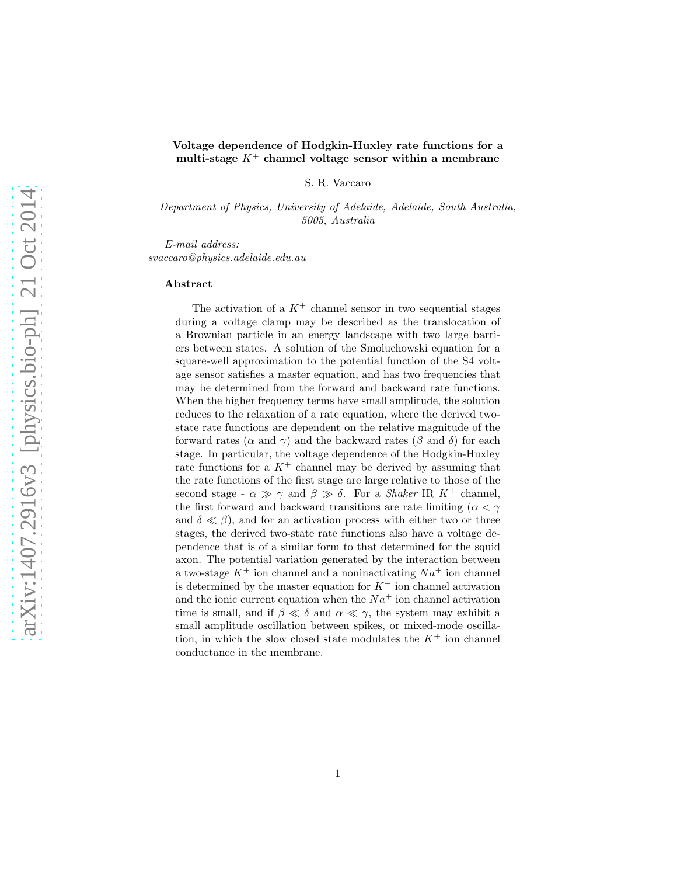## Voltage dependence of Hodgkin-Huxley rate functions for a multi-stage  $K^+$  channel voltage sensor within a membrane

S. R. Vaccaro

*Department of Physics, University of Adelaide, Adelaide, South Australia, 5005, Australia*

*E-mail address: svaccaro@physics.adelaide.edu.au*

#### Abstract

The activation of a  $K^+$  channel sensor in two sequential stages during a voltage clamp may be described as the translocation of a Brownian particle in an energy landscape with two large barriers between states. A solution of the Smoluchowski equation for a square-well approximation to the potential function of the S4 voltage sensor satisfies a master equation, and has two frequencies that may be determined from the forward and backward rate functions. When the higher frequency terms have small amplitude, the solution reduces to the relaxation of a rate equation, where the derived twostate rate functions are dependent on the relative magnitude of the forward rates ( $\alpha$  and  $\gamma$ ) and the backward rates ( $\beta$  and  $\delta$ ) for each stage. In particular, the voltage dependence of the Hodgkin-Huxley rate functions for a  $K^+$  channel may be derived by assuming that the rate functions of the first stage are large relative to those of the second stage -  $\alpha \gg \gamma$  and  $\beta \gg \delta$ . For a *Shaker* IR K<sup>+</sup> channel, the first forward and backward transitions are rate limiting ( $\alpha < \gamma$ and  $\delta \ll \beta$ , and for an activation process with either two or three stages, the derived two-state rate functions also have a voltage dependence that is of a similar form to that determined for the squid axon. The potential variation generated by the interaction between a two-stage  $K^+$  ion channel and a noninactivating  $Na^+$  ion channel is determined by the master equation for  $K^+$  ion channel activation and the ionic current equation when the  $Na<sup>+</sup>$  ion channel activation time is small, and if  $\beta \ll \delta$  and  $\alpha \ll \gamma$ , the system may exhibit a small amplitude oscillation between spikes, or mixed-mode oscillation, in which the slow closed state modulates the  $K^+$  ion channel conductance in the membrane.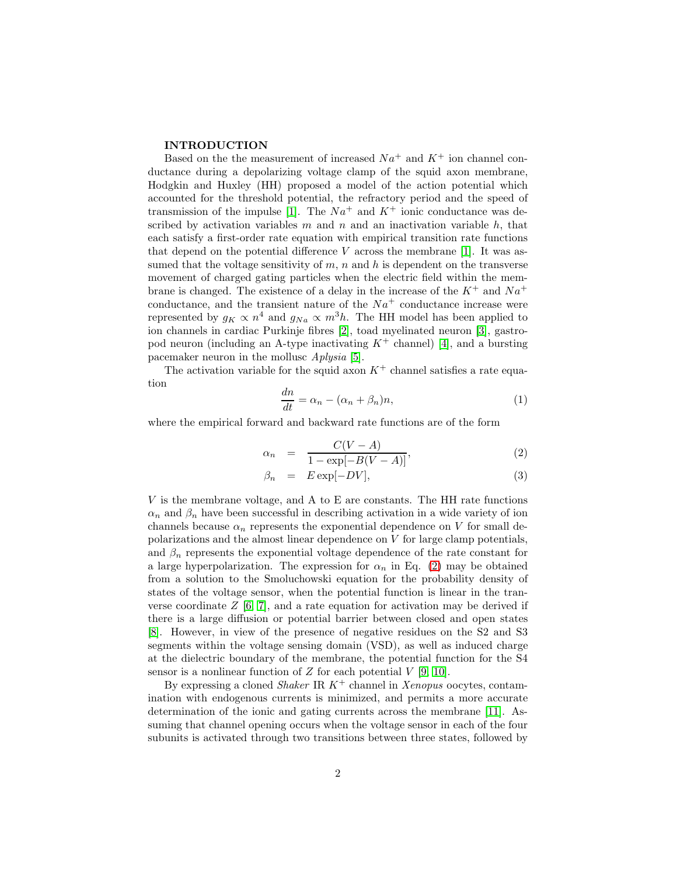### INTRODUCTION

Based on the the measurement of increased  $Na^+$  and  $K^+$  ion channel conductance during a depolarizing voltage clamp of the squid axon membrane, Hodgkin and Huxley (HH) proposed a model of the action potential which accounted for the threshold potential, the refractory period and the speed of transmission of the impulse [\[1\]](#page-19-0). The  $Na^+$  and  $K^+$  ionic conductance was described by activation variables  $m$  and  $n$  and an inactivation variable  $h$ , that each satisfy a first-order rate equation with empirical transition rate functions that depend on the potential difference  $V$  across the membrane [\[1\]](#page-19-0). It was assumed that the voltage sensitivity of  $m$ ,  $n$  and  $h$  is dependent on the transverse movement of charged gating particles when the electric field within the membrane is changed. The existence of a delay in the increase of the  $K^+$  and  $Na^+$ conductance, and the transient nature of the  $Na<sup>+</sup>$  conductance increase were represented by  $g_K \propto n^4$  and  $g_{Na} \propto m^3 h$ . The HH model has been applied to ion channels in cardiac Purkinje fibres [\[2\]](#page-19-1), toad myelinated neuron [\[3\]](#page-19-2), gastropod neuron (including an A-type inactivating  $K^+$  channel) [\[4\]](#page-19-3), and a bursting pacemaker neuron in the mollusc *Aplysia* [\[5\]](#page-19-4).

The activation variable for the squid axon  $K^+$  channel satisfies a rate equation

$$
\frac{dn}{dt} = \alpha_n - (\alpha_n + \beta_n)n,\tag{1}
$$

where the empirical forward and backward rate functions are of the form

<span id="page-1-0"></span>
$$
\alpha_n = \frac{C(V-A)}{1-\exp[-B(V-A)]},\tag{2}
$$

$$
\beta_n = E \exp[-DV], \tag{3}
$$

V is the membrane voltage, and A to E are constants. The HH rate functions  $\alpha_n$  and  $\beta_n$  have been successful in describing activation in a wide variety of ion channels because  $\alpha_n$  represents the exponential dependence on V for small depolarizations and the almost linear dependence on V for large clamp potentials, and  $\beta_n$  represents the exponential voltage dependence of the rate constant for a large hyperpolarization. The expression for  $\alpha_n$  in Eq. [\(2\)](#page-1-0) may be obtained from a solution to the Smoluchowski equation for the probability density of states of the voltage sensor, when the potential function is linear in the tranverse coordinate  $Z$  [\[6,](#page-19-5) [7\]](#page-19-6), and a rate equation for activation may be derived if there is a large diffusion or potential barrier between closed and open states [\[8\]](#page-19-7). However, in view of the presence of negative residues on the S2 and S3 segments within the voltage sensing domain (VSD), as well as induced charge at the dielectric boundary of the membrane, the potential function for the S4 sensor is a nonlinear function of  $Z$  for each potential  $V$  [\[9,](#page-19-8) [10\]](#page-19-9).

By expressing a cloned *Shaker* IR K<sup>+</sup> channel in *Xenopus* oocytes, contamination with endogenous currents is minimized, and permits a more accurate determination of the ionic and gating currents across the membrane [\[11\]](#page-19-10). Assuming that channel opening occurs when the voltage sensor in each of the four subunits is activated through two transitions between three states, followed by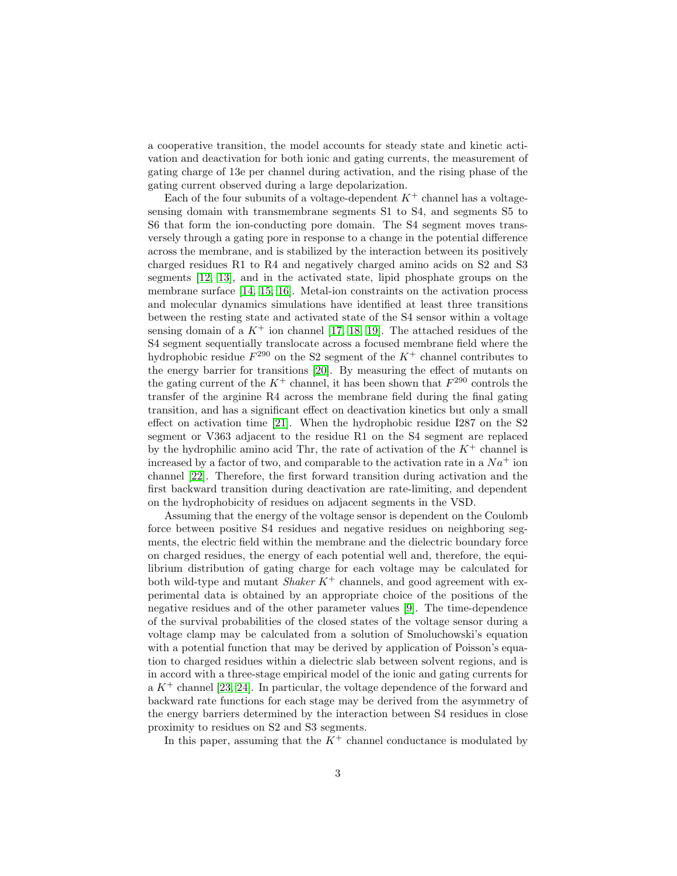a cooperative transition, the model accounts for steady state and kinetic activation and deactivation for both ionic and gating currents, the measurement of gating charge of 13e per channel during activation, and the rising phase of the gating current observed during a large depolarization.

Each of the four subunits of a voltage-dependent  $K^+$  channel has a voltagesensing domain with transmembrane segments S1 to S4, and segments S5 to S6 that form the ion-conducting pore domain. The S4 segment moves transversely through a gating pore in response to a change in the potential difference across the membrane, and is stabilized by the interaction between its positively charged residues R1 to R4 and negatively charged amino acids on S2 and S3 segments [\[12,](#page-19-11) [13\]](#page-19-12), and in the activated state, lipid phosphate groups on the membrane surface [\[14,](#page-19-13) [15,](#page-19-14) [16\]](#page-19-15). Metal-ion constraints on the activation process and molecular dynamics simulations have identified at least three transitions between the resting state and activated state of the S4 sensor within a voltage sensing domain of a  $K^+$  ion channel [\[17,](#page-19-16) [18,](#page-19-17) [19\]](#page-19-18). The attached residues of the S4 segment sequentially translocate across a focused membrane field where the hydrophobic residue  $F^{290}$  on the S2 segment of the  $K^+$  channel contributes to the energy barrier for transitions [\[20\]](#page-19-19). By measuring the effect of mutants on the gating current of the  $K^+$  channel, it has been shown that  $F^{290}$  controls the transfer of the arginine R4 across the membrane field during the final gating transition, and has a significant effect on deactivation kinetics but only a small effect on activation time [\[21\]](#page-19-20). When the hydrophobic residue I287 on the S2 segment or V363 adjacent to the residue R1 on the S4 segment are replaced by the hydrophilic amino acid Thr, the rate of activation of the  $K^+$  channel is increased by a factor of two, and comparable to the activation rate in a  $Na<sup>+</sup>$  ion channel [\[22\]](#page-20-0). Therefore, the first forward transition during activation and the first backward transition during deactivation are rate-limiting, and dependent on the hydrophobicity of residues on adjacent segments in the VSD.

Assuming that the energy of the voltage sensor is dependent on the Coulomb force between positive S4 residues and negative residues on neighboring segments, the electric field within the membrane and the dielectric boundary force on charged residues, the energy of each potential well and, therefore, the equilibrium distribution of gating charge for each voltage may be calculated for both wild-type and mutant *Shaker* K<sup>+</sup> channels, and good agreement with experimental data is obtained by an appropriate choice of the positions of the negative residues and of the other parameter values [\[9\]](#page-19-8). The time-dependence of the survival probabilities of the closed states of the voltage sensor during a voltage clamp may be calculated from a solution of Smoluchowski's equation with a potential function that may be derived by application of Poisson's equation to charged residues within a dielectric slab between solvent regions, and is in accord with a three-stage empirical model of the ionic and gating currents for a  $K^+$  channel [\[23,](#page-20-1) [24\]](#page-20-2). In particular, the voltage dependence of the forward and backward rate functions for each stage may be derived from the asymmetry of the energy barriers determined by the interaction between S4 residues in close proximity to residues on S2 and S3 segments.

In this paper, assuming that the  $K^+$  channel conductance is modulated by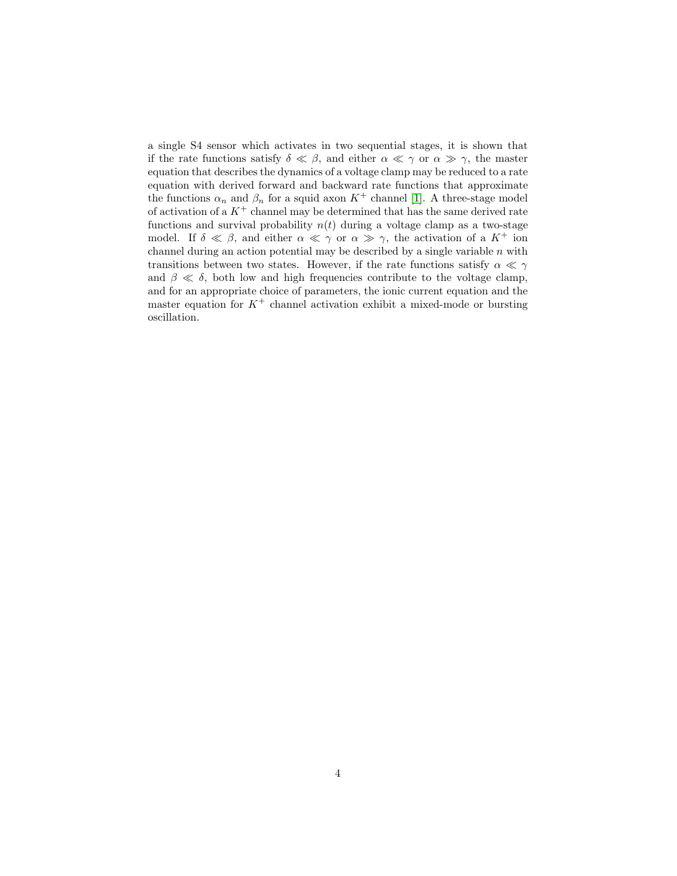a single S4 sensor which activates in two sequential stages, it is shown that if the rate functions satisfy  $\delta \ll \beta$ , and either  $\alpha \ll \gamma$  or  $\alpha \gg \gamma$ , the master equation that describes the dynamics of a voltage clamp may be reduced to a rate equation with derived forward and backward rate functions that approximate the functions  $\alpha_n$  and  $\beta_n$  for a squid axon  $K^+$  channel [\[1\]](#page-19-0). A three-stage model of activation of a  $K^+$  channel may be determined that has the same derived rate functions and survival probability  $n(t)$  during a voltage clamp as a two-stage model. If  $\delta \ll \beta$ , and either  $\alpha \ll \gamma$  or  $\alpha \gg \gamma$ , the activation of a  $K^+$  ion channel during an action potential may be described by a single variable  $n$  with transitions between two states. However, if the rate functions satisfy  $\alpha \ll \gamma$ and  $\beta \ll \delta$ , both low and high frequencies contribute to the voltage clamp, and for an appropriate choice of parameters, the ionic current equation and the master equation for  $K^+$  channel activation exhibit a mixed-mode or bursting oscillation.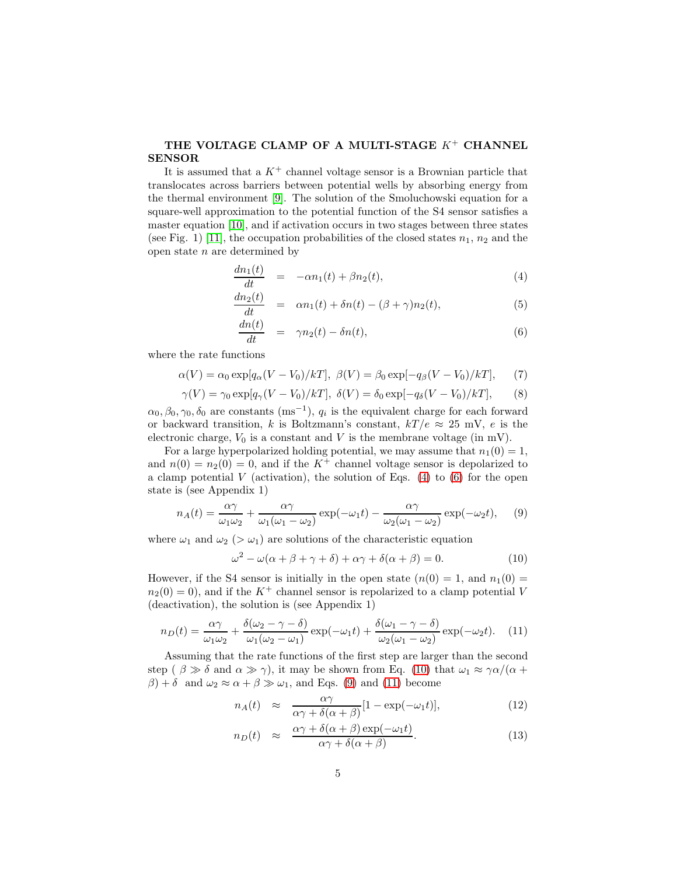## THE VOLTAGE CLAMP OF A MULTI-STAGE  $K^+$  CHANNEL SENSOR

It is assumed that a  $K^+$  channel voltage sensor is a Brownian particle that translocates across barriers between potential wells by absorbing energy from the thermal environment [\[9\]](#page-19-8). The solution of the Smoluchowski equation for a square-well approximation to the potential function of the S4 sensor satisfies a master equation [\[10\]](#page-19-9), and if activation occurs in two stages between three states (see Fig. 1) [\[11\]](#page-19-10), the occupation probabilities of the closed states  $n_1$ ,  $n_2$  and the open state  $n$  are determined by

<span id="page-4-0"></span>
$$
\frac{dn_1(t)}{dt} = -\alpha n_1(t) + \beta n_2(t),\tag{4}
$$

$$
\frac{dn_2(t)}{dt} = \alpha n_1(t) + \delta n(t) - (\beta + \gamma)n_2(t),\tag{5}
$$

$$
\frac{dn(t)}{dt} = \gamma n_2(t) - \delta n(t), \qquad (6)
$$

where the rate functions

$$
\alpha(V) = \alpha_0 \exp[q_\alpha (V - V_0)/kT], \ \beta(V) = \beta_0 \exp[-q_\beta (V - V_0)/kT], \tag{7}
$$

$$
\gamma(V) = \gamma_0 \exp[q_\gamma (V - V_0)/k] \quad \delta(V) = \delta_0 \exp[-q_\delta (V - V_0)/k] \quad (8)
$$

 $\alpha_0, \beta_0, \gamma_0, \delta_0$  are constants (ms<sup>-1</sup>),  $q_i$  is the equivalent charge for each forward or backward transition, k is Boltzmann's constant,  $kT/e \approx 25$  mV, e is the electronic charge,  $V_0$  is a constant and V is the membrane voltage (in mV).

For a large hyperpolarized holding potential, we may assume that  $n_1(0) = 1$ , and  $n(0) = n<sub>2</sub>(0) = 0$ , and if the K<sup>+</sup> channel voltage sensor is depolarized to a clamp potential  $V$  (activation), the solution of Eqs. [\(4\)](#page-4-0) to [\(6\)](#page-4-0) for the open state is (see Appendix 1)

<span id="page-4-2"></span>
$$
n_A(t) = \frac{\alpha \gamma}{\omega_1 \omega_2} + \frac{\alpha \gamma}{\omega_1 (\omega_1 - \omega_2)} \exp(-\omega_1 t) - \frac{\alpha \gamma}{\omega_2 (\omega_1 - \omega_2)} \exp(-\omega_2 t), \quad (9)
$$

where  $\omega_1$  and  $\omega_2$  ( $>\omega_1$ ) are solutions of the characteristic equation

<span id="page-4-1"></span>
$$
\omega^2 - \omega(\alpha + \beta + \gamma + \delta) + \alpha \gamma + \delta(\alpha + \beta) = 0.
$$
 (10)

However, if the S4 sensor is initially in the open state  $(n(0) = 1,$  and  $n_1(0) =$  $n_2(0) = 0$ , and if the  $K^+$  channel sensor is repolarized to a clamp potential V (deactivation), the solution is (see Appendix 1)

<span id="page-4-3"></span>
$$
n_D(t) = \frac{\alpha \gamma}{\omega_1 \omega_2} + \frac{\delta(\omega_2 - \gamma - \delta)}{\omega_1 (\omega_2 - \omega_1)} \exp(-\omega_1 t) + \frac{\delta(\omega_1 - \gamma - \delta)}{\omega_2 (\omega_1 - \omega_2)} \exp(-\omega_2 t). \quad (11)
$$

Assuming that the rate functions of the first step are larger than the second step ( $\beta \gg \delta$  and  $\alpha \gg \gamma$ ), it may be shown from Eq. [\(10\)](#page-4-1) that  $\omega_1 \approx \gamma \alpha/(\alpha + \gamma \delta)$  $\beta$ ) + δ and  $\omega_2 \approx \alpha + \beta \gg \omega_1$ , and Eqs. [\(9\)](#page-4-2) and [\(11\)](#page-4-3) become

<span id="page-4-4"></span>
$$
n_A(t) \approx \frac{\alpha \gamma}{\alpha \gamma + \delta(\alpha + \beta)} [1 - \exp(-\omega_1 t)], \qquad (12)
$$

$$
n_D(t) \approx \frac{\alpha \gamma + \delta(\alpha + \beta) \exp(-\omega_1 t)}{\alpha \gamma + \delta(\alpha + \beta)}.
$$
\n(13)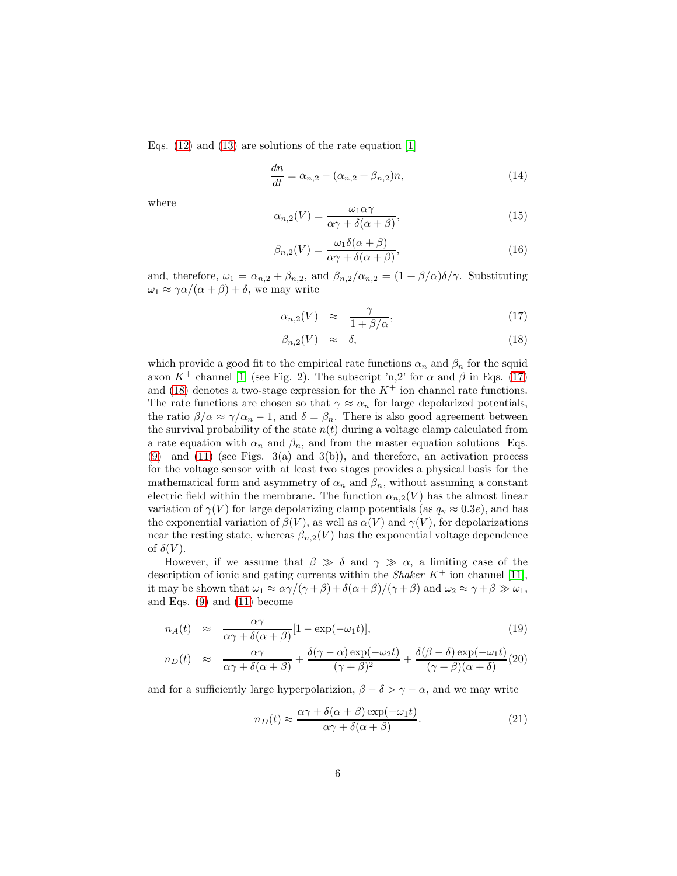Eqs. [\(12\)](#page-4-4) and [\(13\)](#page-4-4) are solutions of the rate equation [\[1\]](#page-19-0)

<span id="page-5-3"></span>
$$
\frac{dn}{dt} = \alpha_{n,2} - (\alpha_{n,2} + \beta_{n,2})n,
$$
\n(14)

where

<span id="page-5-4"></span>
$$
\alpha_{n,2}(V) = \frac{\omega_1 \alpha \gamma}{\alpha \gamma + \delta(\alpha + \beta)},\tag{15}
$$

<span id="page-5-5"></span>
$$
\beta_{n,2}(V) = \frac{\omega_1 \delta(\alpha + \beta)}{\alpha \gamma + \delta(\alpha + \beta)},\tag{16}
$$

and, therefore,  $\omega_1 = \alpha_{n,2} + \beta_{n,2}$ , and  $\beta_{n,2}/\alpha_{n,2} = (1 + \beta/\alpha)\delta/\gamma$ . Substituting  $\omega_1 \approx \gamma \alpha/(\alpha + \beta) + \delta$ , we may write

<span id="page-5-0"></span>
$$
\alpha_{n,2}(V) \approx \frac{\gamma}{1+\beta/\alpha},\tag{17}
$$

$$
\beta_{n,2}(V) \approx \delta, \tag{18}
$$

which provide a good fit to the empirical rate functions  $\alpha_n$  and  $\beta_n$  for the squid axon  $K^+$  channel [\[1\]](#page-19-0) (see Fig. 2). The subscript 'n,2' for  $\alpha$  and  $\beta$  in Eqs. [\(17\)](#page-5-0) and [\(18\)](#page-5-0) denotes a two-stage expression for the  $K^+$  ion channel rate functions. The rate functions are chosen so that  $\gamma \approx \alpha_n$  for large depolarized potentials, the ratio  $\beta/\alpha \approx \gamma/\alpha_n - 1$ , and  $\delta = \beta_n$ . There is also good agreement between the survival probability of the state  $n(t)$  during a voltage clamp calculated from a rate equation with  $\alpha_n$  and  $\beta_n$ , and from the master equation solutions Eqs.  $(9)$  and  $(11)$  (see Figs. 3(a) and 3(b)), and therefore, an activation process for the voltage sensor with at least two stages provides a physical basis for the mathematical form and asymmetry of  $\alpha_n$  and  $\beta_n$ , without assuming a constant electric field within the membrane. The function  $\alpha_{n,2}(V)$  has the almost linear variation of  $\gamma(V)$  for large depolarizing clamp potentials (as  $q_{\gamma} \approx 0.3e$ ), and has the exponential variation of  $\beta(V)$ , as well as  $\alpha(V)$  and  $\gamma(V)$ , for depolarizations near the resting state, whereas  $\beta_{n,2}(V)$  has the exponential voltage dependence of  $\delta(V)$ .

However, if we assume that  $\beta \gg \delta$  and  $\gamma \gg \alpha$ , a limiting case of the description of ionic and gating currents within the *Shaker* K<sup>+</sup> ion channel [\[11\]](#page-19-10), it may be shown that  $\omega_1 \approx \alpha \gamma/(\gamma + \beta) + \delta(\alpha + \beta)/(\gamma + \beta)$  and  $\omega_2 \approx \gamma + \beta \gg \omega_1$ , and Eqs. [\(9\)](#page-4-2) and [\(11\)](#page-4-3) become

<span id="page-5-1"></span>
$$
n_A(t) \approx \frac{\alpha \gamma}{\alpha \gamma + \delta(\alpha + \beta)} [1 - \exp(-\omega_1 t)], \qquad (19)
$$

$$
n_D(t) \approx \frac{\alpha \gamma}{\alpha \gamma + \delta(\alpha + \beta)} + \frac{\delta(\gamma - \alpha) \exp(-\omega_2 t)}{(\gamma + \beta)^2} + \frac{\delta(\beta - \delta) \exp(-\omega_1 t)}{(\gamma + \beta)(\alpha + \delta)} (20)
$$

and for a sufficiently large hyperpolarizion,  $\beta - \delta > \gamma - \alpha$ , and we may write

<span id="page-5-2"></span>
$$
n_D(t) \approx \frac{\alpha \gamma + \delta(\alpha + \beta) \exp(-\omega_1 t)}{\alpha \gamma + \delta(\alpha + \beta)}.
$$
\n(21)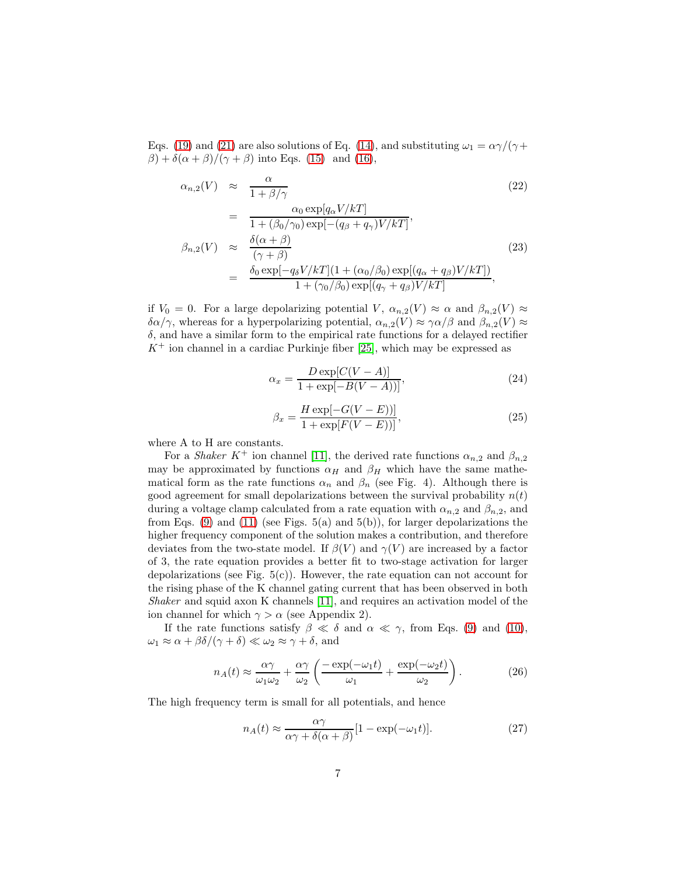Eqs. [\(19\)](#page-5-1) and [\(21\)](#page-5-2) are also solutions of Eq. [\(14\)](#page-5-3), and substituting  $\omega_1 = \alpha \gamma / (\gamma +$  $\beta$ ) +  $\delta(\alpha + \beta)/(\gamma + \beta)$  into Eqs. [\(15\)](#page-5-4) and [\(16\)](#page-5-5),

<span id="page-6-0"></span>
$$
\alpha_{n,2}(V) \approx \frac{\alpha}{1 + \beta/\gamma}
$$
\n
$$
= \frac{\alpha_0 \exp[q_{\alpha}V/kT]}{1 + (\beta_0/\gamma_0) \exp[-(q_{\beta} + q_{\gamma})V/kT]},
$$
\n
$$
\beta_{n,2}(V) \approx \frac{\delta(\alpha + \beta)}{(\gamma + \beta)}
$$
\n
$$
= \frac{\delta_0 \exp[-q_{\delta}V/kT](1 + (\alpha_0/\beta_0) \exp[(q_{\alpha} + q_{\beta})V/kT])}{1 + (\gamma_0/\beta_0) \exp[(q_{\gamma} + q_{\beta})V/kT]},
$$
\n(23)

if  $V_0 = 0$ . For a large depolarizing potential V,  $\alpha_{n,2}(V) \approx \alpha$  and  $\beta_{n,2}(V) \approx$  $\delta \alpha/\gamma$ , whereas for a hyperpolarizing potential,  $\alpha_{n,2}(V) \approx \gamma \alpha/\beta$  and  $\beta_{n,2}(V) \approx$  $\delta$ , and have a similar form to the empirical rate functions for a delayed rectifier  $K^+$  ion channel in a cardiac Purkinje fiber [\[25\]](#page-20-3), which may be expressed as

$$
\alpha_x = \frac{D \exp[C(V - A)]}{1 + \exp[-B(V - A))]},\tag{24}
$$

$$
\beta_x = \frac{H \exp[-G(V - E))]}{1 + \exp[F(V - E))]},
$$
\n(25)

where A to H are constants.

For a *Shaker* K<sup>+</sup> ion channel [\[11\]](#page-19-10), the derived rate functions  $\alpha_{n,2}$  and  $\beta_{n,2}$ may be approximated by functions  $\alpha_H$  and  $\beta_H$  which have the same mathematical form as the rate functions  $\alpha_n$  and  $\beta_n$  (see Fig. 4). Although there is good agreement for small depolarizations between the survival probability  $n(t)$ during a voltage clamp calculated from a rate equation with  $\alpha_{n,2}$  and  $\beta_{n,2}$ , and from Eqs. [\(9\)](#page-4-2) and [\(11\)](#page-4-3) (see Figs.  $5(a)$  and  $5(b)$ ), for larger depolarizations the higher frequency component of the solution makes a contribution, and therefore deviates from the two-state model. If  $\beta(V)$  and  $\gamma(V)$  are increased by a factor of 3, the rate equation provides a better fit to two-stage activation for larger depolarizations (see Fig.  $5(c)$ ). However, the rate equation can not account for the rising phase of the K channel gating current that has been observed in both *Shaker* and squid axon K channels [\[11\]](#page-19-10), and requires an activation model of the ion channel for which  $\gamma > \alpha$  (see Appendix 2).

If the rate functions satisfy  $\beta \ll \delta$  and  $\alpha \ll \gamma$ , from Eqs. [\(9\)](#page-4-2) and [\(10\)](#page-4-1),  $\omega_1 \approx \alpha + \beta \delta/(\gamma + \delta) \ll \omega_2 \approx \gamma + \delta$ , and

$$
n_A(t) \approx \frac{\alpha \gamma}{\omega_1 \omega_2} + \frac{\alpha \gamma}{\omega_2} \left( \frac{-\exp(-\omega_1 t)}{\omega_1} + \frac{\exp(-\omega_2 t)}{\omega_2} \right). \tag{26}
$$

The high frequency term is small for all potentials, and hence

$$
n_A(t) \approx \frac{\alpha \gamma}{\alpha \gamma + \delta(\alpha + \beta)} [1 - \exp(-\omega_1 t)]. \tag{27}
$$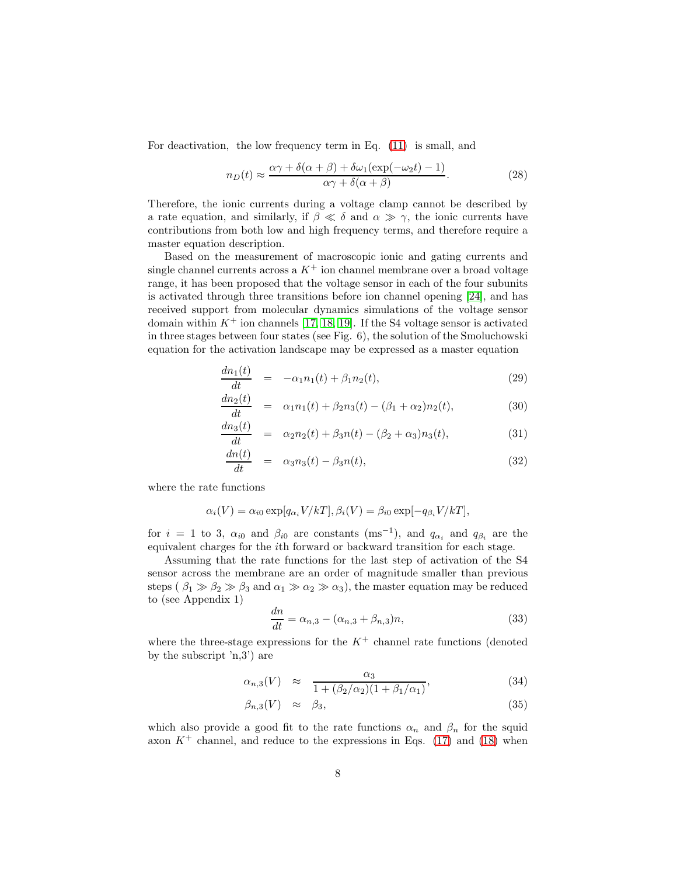For deactivation, the low frequency term in Eq. [\(11\)](#page-4-3) is small, and

$$
n_D(t) \approx \frac{\alpha \gamma + \delta(\alpha + \beta) + \delta \omega_1 (\exp(-\omega_2 t) - 1)}{\alpha \gamma + \delta(\alpha + \beta)}.
$$
 (28)

Therefore, the ionic currents during a voltage clamp cannot be described by a rate equation, and similarly, if  $\beta \ll \delta$  and  $\alpha \gg \gamma$ , the ionic currents have contributions from both low and high frequency terms, and therefore require a master equation description.

Based on the measurement of macroscopic ionic and gating currents and single channel currents across a  $K^+$  ion channel membrane over a broad voltage range, it has been proposed that the voltage sensor in each of the four subunits is activated through three transitions before ion channel opening [\[24\]](#page-20-2), and has received support from molecular dynamics simulations of the voltage sensor domain within  $K^+$  ion channels [\[17,](#page-19-16) [18,](#page-19-17) [19\]](#page-19-18). If the S4 voltage sensor is activated in three stages between four states (see Fig. 6), the solution of the Smoluchowski equation for the activation landscape may be expressed as a master equation

<span id="page-7-1"></span>
$$
\frac{dn_1(t)}{dt} = -\alpha_1 n_1(t) + \beta_1 n_2(t),
$$
\n(29)

$$
\frac{dn_2(t)}{dt} = \alpha_1 n_1(t) + \beta_2 n_3(t) - (\beta_1 + \alpha_2) n_2(t), \tag{30}
$$

$$
\frac{dn_3(t)}{dt} = \alpha_2 n_2(t) + \beta_3 n(t) - (\beta_2 + \alpha_3) n_3(t), \tag{31}
$$

$$
\frac{dn(t)}{dt} = \alpha_3 n_3(t) - \beta_3 n(t), \qquad (32)
$$

where the rate functions

$$
\alpha_i(V) = \alpha_{i0} \exp[q_{\alpha_i} V/kT], \beta_i(V) = \beta_{i0} \exp[-q_{\beta_i} V/kT],
$$

for  $i = 1$  to 3,  $\alpha_{i0}$  and  $\beta_{i0}$  are constants (ms<sup>-1</sup>), and  $q_{\alpha_i}$  and  $q_{\beta_i}$  are the equivalent charges for the ith forward or backward transition for each stage.

Assuming that the rate functions for the last step of activation of the S4 sensor across the membrane are an order of magnitude smaller than previous steps ( $\beta_1 \gg \beta_2 \gg \beta_3$  and  $\alpha_1 \gg \alpha_2 \gg \alpha_3$ ), the master equation may be reduced to (see Appendix 1)

<span id="page-7-0"></span>
$$
\frac{dn}{dt} = \alpha_{n,3} - (\alpha_{n,3} + \beta_{n,3})n,
$$
\n(33)

where the three-stage expressions for the  $K^+$  channel rate functions (denoted by the subscript 'n,3') are

$$
\alpha_{n,3}(V) \approx \frac{\alpha_3}{1 + (\beta_2/\alpha_2)(1 + \beta_1/\alpha_1)},
$$
\n(34)

$$
\beta_{n,3}(V) \approx \beta_3,\tag{35}
$$

which also provide a good fit to the rate functions  $\alpha_n$  and  $\beta_n$  for the squid axon  $K^+$  channel, and reduce to the expressions in Eqs. [\(17\)](#page-5-0) and [\(18\)](#page-5-0) when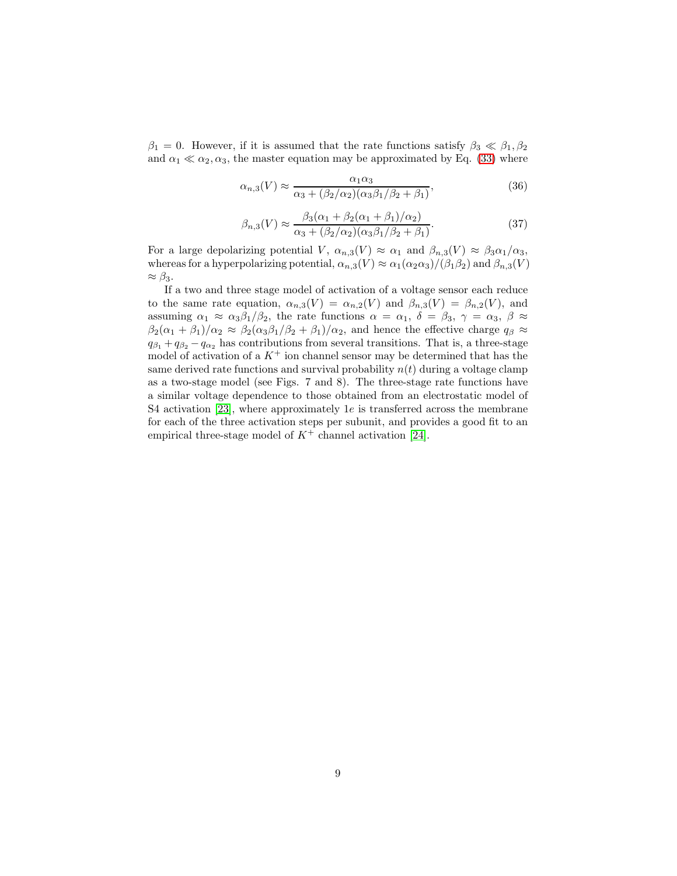$\beta_1 = 0$ . However, if it is assumed that the rate functions satisfy  $\beta_3 \ll \beta_1, \beta_2$ and  $\alpha_1 \ll \alpha_2, \alpha_3$ , the master equation may be approximated by Eq. [\(33\)](#page-7-0) where

<span id="page-8-0"></span>
$$
\alpha_{n,3}(V) \approx \frac{\alpha_1 \alpha_3}{\alpha_3 + (\beta_2/\alpha_2)(\alpha_3 \beta_1/\beta_2 + \beta_1)},\tag{36}
$$

<span id="page-8-1"></span>
$$
\beta_{n,3}(V) \approx \frac{\beta_3(\alpha_1 + \beta_2(\alpha_1 + \beta_1)/\alpha_2)}{\alpha_3 + (\beta_2/\alpha_2)(\alpha_3\beta_1/\beta_2 + \beta_1)}.\tag{37}
$$

For a large depolarizing potential V,  $\alpha_{n,3}(V) \approx \alpha_1$  and  $\beta_{n,3}(V) \approx \beta_3 \alpha_1/\alpha_3$ , whereas for a hyperpolarizing potential,  $\alpha_{n,3}(V) \approx \alpha_1(\alpha_2\alpha_3)/(\beta_1\beta_2)$  and  $\beta_{n,3}(V)$  $\approx \beta_3$ .

If a two and three stage model of activation of a voltage sensor each reduce to the same rate equation,  $\alpha_{n,3}(V) = \alpha_{n,2}(V)$  and  $\beta_{n,3}(V) = \beta_{n,2}(V)$ , and assuming  $\alpha_1 \approx \alpha_3\beta_1/\beta_2$ , the rate functions  $\alpha = \alpha_1$ ,  $\delta = \beta_3$ ,  $\gamma = \alpha_3$ ,  $\beta \approx$  $\beta_2(\alpha_1 + \beta_1)/\alpha_2 \approx \beta_2(\alpha_3\beta_1/\beta_2 + \beta_1)/\alpha_2$ , and hence the effective charge  $q_\beta \approx$  $q_{\beta_1} + q_{\beta_2} - q_{\alpha_2}$  has contributions from several transitions. That is, a three-stage model of activation of a  $K^+$  ion channel sensor may be determined that has the same derived rate functions and survival probability  $n(t)$  during a voltage clamp as a two-stage model (see Figs. 7 and 8). The three-stage rate functions have a similar voltage dependence to those obtained from an electrostatic model of S4 activation [\[23\]](#page-20-1), where approximately 1e is transferred across the membrane for each of the three activation steps per subunit, and provides a good fit to an empirical three-stage model of  $K^+$  channel activation [\[24\]](#page-20-2).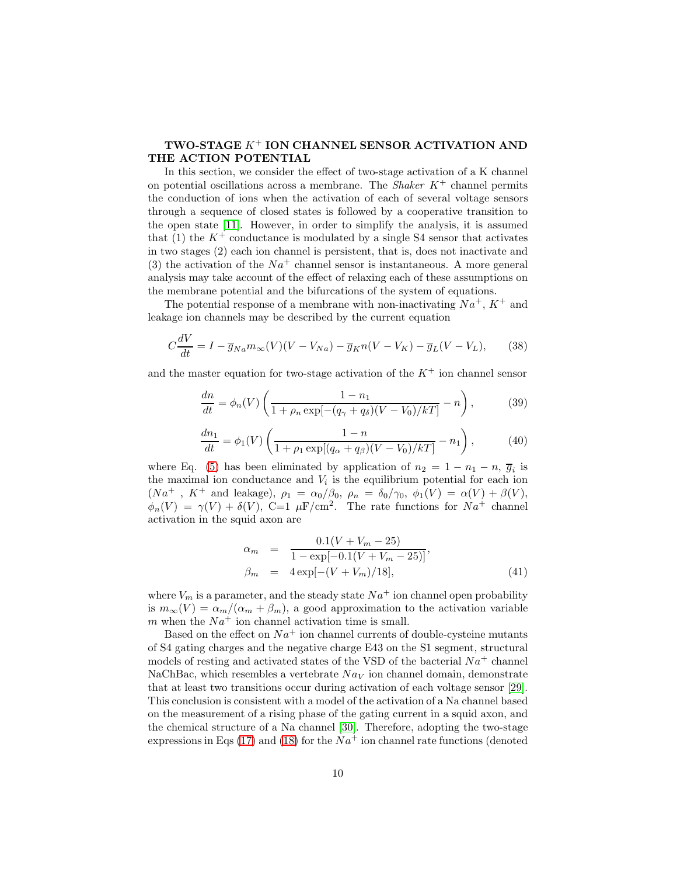## TWO-STAGE K<sup>+</sup> ION CHANNEL SENSOR ACTIVATION AND THE ACTION POTENTIAL

In this section, we consider the effect of two-stage activation of a K channel on potential oscillations across a membrane. The *Shaker* K<sup>+</sup> channel permits the conduction of ions when the activation of each of several voltage sensors through a sequence of closed states is followed by a cooperative transition to the open state [\[11\]](#page-19-10). However, in order to simplify the analysis, it is assumed that (1) the  $K^+$  conductance is modulated by a single S4 sensor that activates in two stages (2) each ion channel is persistent, that is, does not inactivate and (3) the activation of the  $Na^+$  channel sensor is instantaneous. A more general analysis may take account of the effect of relaxing each of these assumptions on the membrane potential and the bifurcations of the system of equations.

The potential response of a membrane with non-inactivating  $Na^+$ ,  $K^+$  and leakage ion channels may be described by the current equation

<span id="page-9-0"></span>
$$
C\frac{dV}{dt} = I - \overline{g}_{Na}m_{\infty}(V)(V - V_{Na}) - \overline{g}_{K}n(V - V_{K}) - \overline{g}_{L}(V - V_{L}), \qquad (38)
$$

and the master equation for two-stage activation of the  $K^+$  ion channel sensor

<span id="page-9-2"></span>
$$
\frac{dn}{dt} = \phi_n(V) \left( \frac{1 - n_1}{1 + \rho_n \exp[-(q_\gamma + q_\delta)(V - V_0)/kT]} - n \right),\tag{39}
$$

<span id="page-9-1"></span>
$$
\frac{dn_1}{dt} = \phi_1(V) \left( \frac{1 - n}{1 + \rho_1 \exp[(q_\alpha + q_\beta)(V - V_0)/kT]} - n_1 \right),\tag{40}
$$

where Eq. [\(5\)](#page-4-0) has been eliminated by application of  $n_2 = 1 - n_1 - n$ ,  $\overline{g}_i$  is the maximal ion conductance and  $V_i$  is the equilibrium potential for each ion  $(Na^+$ ,  $K^+$  and leakage),  $\rho_1 = \alpha_0/\beta_0$ ,  $\rho_n = \delta_0/\gamma_0$ ,  $\phi_1(V) = \alpha(V) + \beta(V)$ ,  $\phi_n(V) = \gamma(V) + \delta(V)$ , C=1  $\mu$ F/cm<sup>2</sup>. The rate functions for  $Na^+$  channel activation in the squid axon are

<span id="page-9-3"></span>
$$
\alpha_m = \frac{0.1(V + V_m - 25)}{1 - \exp[-0.1(V + V_m - 25)]},
$$
  
\n
$$
\beta_m = 4 \exp[-(V + V_m)/18],
$$
\n(41)

where  $V_m$  is a parameter, and the steady state  $Na^+$  ion channel open probability is  $m_{\infty}(V) = \alpha_m/(\alpha_m + \beta_m)$ , a good approximation to the activation variable m when the  $Na<sup>+</sup>$  ion channel activation time is small.

Based on the effect on  $Na^+$  ion channel currents of double-cysteine mutants of S4 gating charges and the negative charge E43 on the S1 segment, structural models of resting and activated states of the VSD of the bacterial  $Na<sup>+</sup>$  channel NaChBac, which resembles a vertebrate  $N a_V$  ion channel domain, demonstrate that at least two transitions occur during activation of each voltage sensor [\[29\]](#page-20-4). This conclusion is consistent with a model of the activation of a Na channel based on the measurement of a rising phase of the gating current in a squid axon, and the chemical structure of a Na channel [\[30\]](#page-20-5). Therefore, adopting the two-stage expressions in Eqs [\(17\)](#page-5-0) and [\(18\)](#page-5-0) for the  $Na<sup>+</sup>$  ion channel rate functions (denoted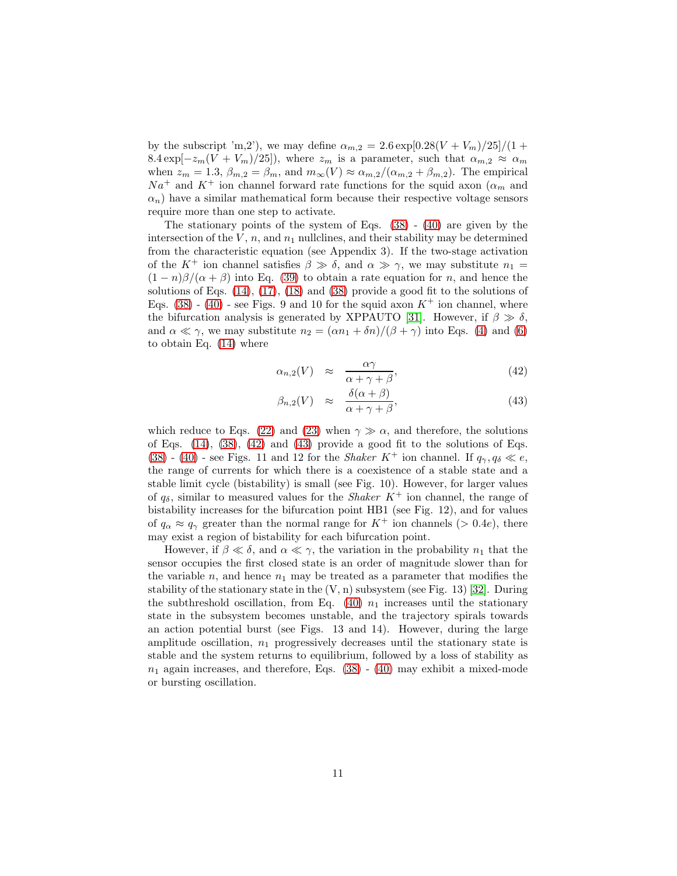by the subscript 'm,2'), we may define  $\alpha_{m,2} = 2.6 \exp[0.28(V+V_m)/25]/(1 +$  $8.4 \exp[-z_m(V+V_m)/25]$ , where  $z_m$  is a parameter, such that  $\alpha_{m,2} \approx \alpha_m$ when  $z_m = 1.3$ ,  $\beta_{m,2} = \beta_m$ , and  $m_\infty(V) \approx \alpha_{m,2}/(\alpha_{m,2} + \beta_{m,2})$ . The empirical  $Na<sup>+</sup>$  and  $K<sup>+</sup>$  ion channel forward rate functions for the squid axon  $(\alpha_m$  and  $\alpha_n$ ) have a similar mathematical form because their respective voltage sensors require more than one step to activate.

The stationary points of the system of Eqs.  $(38)$  -  $(40)$  are given by the intersection of the  $V$ ,  $n$ , and  $n_1$  nullclines, and their stability may be determined from the characteristic equation (see Appendix 3). If the two-stage activation of the K<sup>+</sup> ion channel satisfies  $\beta \gg \delta$ , and  $\alpha \gg \gamma$ , we may substitute  $n_1 =$  $(1-n)\beta/(\alpha+\beta)$  into Eq. [\(39\)](#page-9-2) to obtain a rate equation for n, and hence the solutions of Eqs. [\(14\)](#page-5-3), [\(17\)](#page-5-0), [\(18\)](#page-5-0) and [\(38\)](#page-9-0) provide a good fit to the solutions of Eqs. [\(38\)](#page-9-0) - [\(40\)](#page-9-1) - see Figs. 9 and 10 for the squid axon  $K^+$  ion channel, where the bifurcation analysis is generated by XPPAUTO [\[31\]](#page-20-6). However, if  $\beta \gg \delta$ , and  $\alpha \ll \gamma$ , we may substitute  $n_2 = (\alpha n_1 + \delta n)/(\beta + \gamma)$  into Eqs. [\(4\)](#page-4-0) and [\(6\)](#page-4-0) to obtain Eq. [\(14\)](#page-5-3) where

<span id="page-10-0"></span>
$$
\alpha_{n,2}(V) \approx \frac{\alpha \gamma}{\alpha + \gamma + \beta},\tag{42}
$$

$$
\beta_{n,2}(V) \approx \frac{\delta(\alpha+\beta)}{\alpha+\gamma+\beta},\tag{43}
$$

which reduce to Eqs. [\(22\)](#page-6-0) and [\(23\)](#page-6-0) when  $\gamma \gg \alpha$ , and therefore, the solutions of Eqs. [\(14\)](#page-5-3), [\(38\)](#page-9-0), [\(42\)](#page-10-0) and [\(43\)](#page-10-0) provide a good fit to the solutions of Eqs. [\(38\)](#page-9-0) - [\(40\)](#page-9-1) - see Figs. 11 and 12 for the *Shaker* K<sup>+</sup> ion channel. If  $q_{\gamma}, q_{\delta} \ll e$ , the range of currents for which there is a coexistence of a stable state and a stable limit cycle (bistability) is small (see Fig. 10). However, for larger values of  $q_{\delta}$ , similar to measured values for the *Shaker*  $K^+$  ion channel, the range of bistability increases for the bifurcation point HB1 (see Fig. 12), and for values of  $q_{\alpha} \approx q_{\gamma}$  greater than the normal range for  $K^+$  ion channels (> 0.4e), there may exist a region of bistability for each bifurcation point.

However, if  $\beta \ll \delta$ , and  $\alpha \ll \gamma$ , the variation in the probability  $n_1$  that the sensor occupies the first closed state is an order of magnitude slower than for the variable n, and hence  $n_1$  may be treated as a parameter that modifies the stability of the stationary state in the  $(V, n)$  subsystem (see Fig. 13) [\[32\]](#page-20-7). During the subthreshold oscillation, from Eq. [\(40\)](#page-9-1)  $n_1$  increases until the stationary state in the subsystem becomes unstable, and the trajectory spirals towards an action potential burst (see Figs. 13 and 14). However, during the large amplitude oscillation,  $n_1$  progressively decreases until the stationary state is stable and the system returns to equilibrium, followed by a loss of stability as  $n_1$  again increases, and therefore, Eqs. [\(38\)](#page-9-0) - [\(40\)](#page-9-1) may exhibit a mixed-mode or bursting oscillation.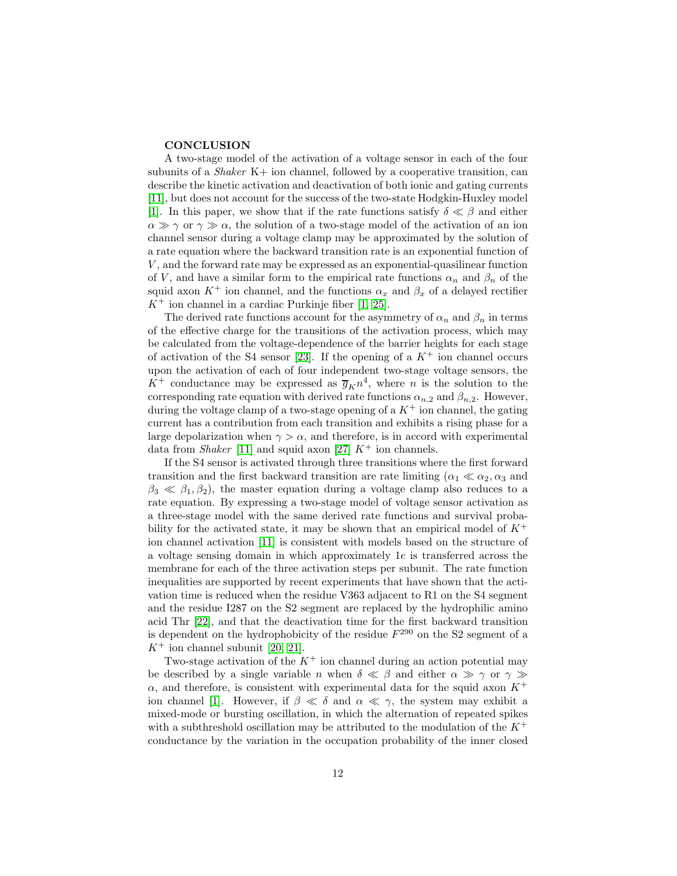#### **CONCLUSION**

A two-stage model of the activation of a voltage sensor in each of the four subunits of a *Shaker* K+ ion channel, followed by a cooperative transition, can describe the kinetic activation and deactivation of both ionic and gating currents [\[11\]](#page-19-10), but does not account for the success of the two-state Hodgkin-Huxley model [\[1\]](#page-19-0). In this paper, we show that if the rate functions satisfy  $\delta \ll \beta$  and either  $\alpha \gg \gamma$  or  $\gamma \gg \alpha$ , the solution of a two-stage model of the activation of an ion channel sensor during a voltage clamp may be approximated by the solution of a rate equation where the backward transition rate is an exponential function of V , and the forward rate may be expressed as an exponential-quasilinear function of V, and have a similar form to the empirical rate functions  $\alpha_n$  and  $\beta_n$  of the squid axon  $K^+$  ion channel, and the functions  $\alpha_x$  and  $\beta_x$  of a delayed rectifier  $K^+$  ion channel in a cardiac Purkinje fiber [\[1,](#page-19-0) [25\]](#page-20-3).

The derived rate functions account for the asymmetry of  $\alpha_n$  and  $\beta_n$  in terms of the effective charge for the transitions of the activation process, which may be calculated from the voltage-dependence of the barrier heights for each stage of activation of the S4 sensor [\[23\]](#page-20-1). If the opening of a  $K^+$  ion channel occurs upon the activation of each of four independent two-stage voltage sensors, the  $K^+$  conductance may be expressed as  $\overline{g}_K n^4$ , where n is the solution to the corresponding rate equation with derived rate functions  $\alpha_{n,2}$  and  $\beta_{n,2}$ . However, during the voltage clamp of a two-stage opening of a  $K^+$  ion channel, the gating current has a contribution from each transition and exhibits a rising phase for a large depolarization when  $\gamma > \alpha$ , and therefore, is in accord with experimental data from *Shaker* [\[11\]](#page-19-10) and squid axon [\[27\]](#page-20-8)  $K^+$  ion channels.

If the S4 sensor is activated through three transitions where the first forward transition and the first backward transition are rate limiting ( $\alpha_1 \ll \alpha_2, \alpha_3$  and  $\beta_3 \ll \beta_1, \beta_2$ , the master equation during a voltage clamp also reduces to a rate equation. By expressing a two-stage model of voltage sensor activation as a three-stage model with the same derived rate functions and survival probability for the activated state, it may be shown that an empirical model of  $K^+$ ion channel activation [\[11\]](#page-19-10) is consistent with models based on the structure of a voltage sensing domain in which approximately 1e is transferred across the membrane for each of the three activation steps per subunit. The rate function inequalities are supported by recent experiments that have shown that the activation time is reduced when the residue V363 adjacent to R1 on the S4 segment and the residue I287 on the S2 segment are replaced by the hydrophilic amino acid Thr [\[22\]](#page-20-0), and that the deactivation time for the first backward transition is dependent on the hydrophobicity of the residue  $F^{290}$  on the S2 segment of a  $K^+$  ion channel subunit [\[20,](#page-19-19) [21\]](#page-19-20).

Two-stage activation of the  $K^+$  ion channel during an action potential may be described by a single variable n when  $\delta \ll \beta$  and either  $\alpha \gg \gamma$  or  $\gamma \gg$  $\alpha$ , and therefore, is consistent with experimental data for the squid axon  $K^+$ ion channel [\[1\]](#page-19-0). However, if  $\beta \ll \delta$  and  $\alpha \ll \gamma$ , the system may exhibit a mixed-mode or bursting oscillation, in which the alternation of repeated spikes with a subthreshold oscillation may be attributed to the modulation of the  $K^+$ conductance by the variation in the occupation probability of the inner closed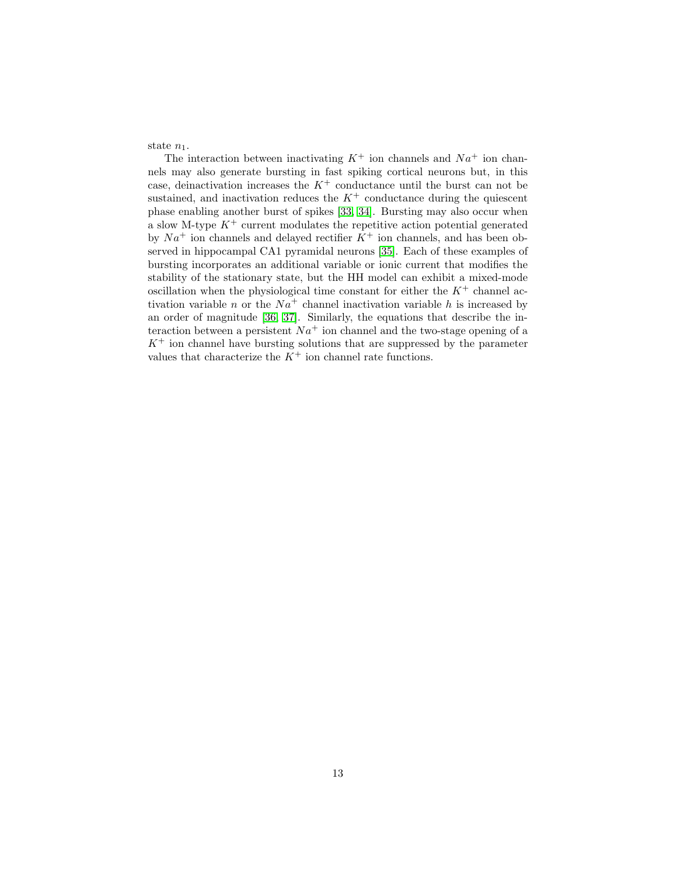state  $n_1$ .

The interaction between inactivating  $K^+$  ion channels and  $Na^+$  ion channels may also generate bursting in fast spiking cortical neurons but, in this case, deinactivation increases the  $K^+$  conductance until the burst can not be sustained, and inactivation reduces the  $K^+$  conductance during the quiescent phase enabling another burst of spikes [\[33,](#page-20-9) [34\]](#page-20-10). Bursting may also occur when a slow M-type  $K^+$  current modulates the repetitive action potential generated by  $Na<sup>+</sup>$  ion channels and delayed rectifier  $K<sup>+</sup>$  ion channels, and has been observed in hippocampal CA1 pyramidal neurons [\[35\]](#page-20-11). Each of these examples of bursting incorporates an additional variable or ionic current that modifies the stability of the stationary state, but the HH model can exhibit a mixed-mode oscillation when the physiological time constant for either the  $K^+$  channel activation variable n or the  $Na<sup>+</sup>$  channel inactivation variable h is increased by an order of magnitude [\[36,](#page-20-12) [37\]](#page-20-13). Similarly, the equations that describe the interaction between a persistent  $Na^+$  ion channel and the two-stage opening of a  $K^+$  ion channel have bursting solutions that are suppressed by the parameter values that characterize the  $K^+$  ion channel rate functions.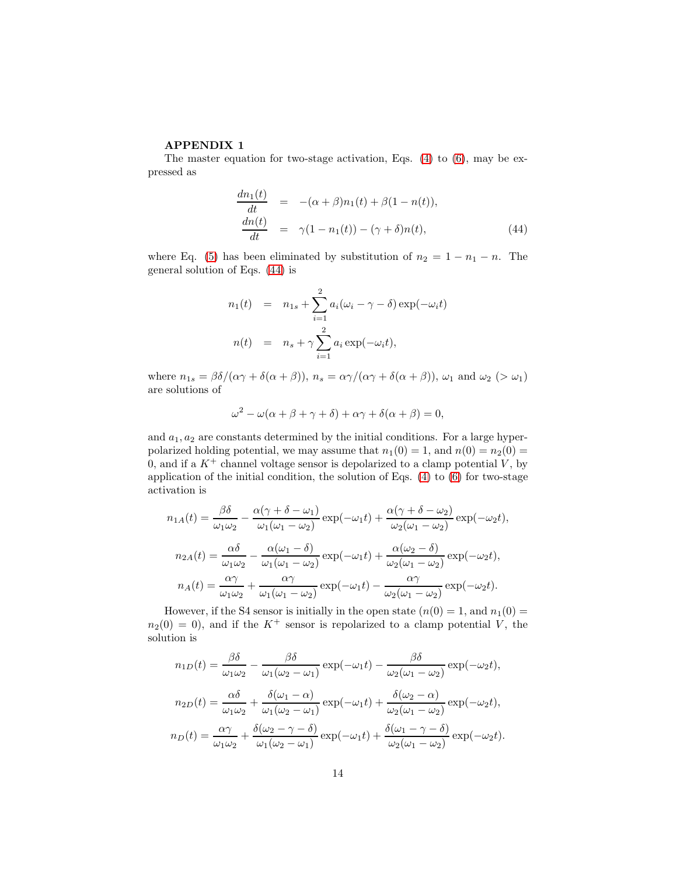## APPENDIX 1

The master equation for two-stage activation, Eqs. [\(4\)](#page-4-0) to [\(6\)](#page-4-0), may be expressed as

<span id="page-13-0"></span>
$$
\frac{dn_1(t)}{dt} = -(\alpha + \beta)n_1(t) + \beta(1 - n(t)),
$$
\n
$$
\frac{dn(t)}{dt} = \gamma(1 - n_1(t)) - (\gamma + \delta)n(t),
$$
\n(44)

where Eq. [\(5\)](#page-4-0) has been eliminated by substitution of  $n_2 = 1 - n_1 - n$ . The general solution of Eqs. [\(44\)](#page-13-0) is

$$
n_1(t) = n_{1s} + \sum_{i=1}^2 a_i (\omega_i - \gamma - \delta) \exp(-\omega_i t)
$$
  

$$
n(t) = n_s + \gamma \sum_{i=1}^2 a_i \exp(-\omega_i t),
$$

where  $n_{1s} = \frac{\beta \delta}{(\alpha \gamma + \delta(\alpha + \beta))}, n_s = \frac{\alpha \gamma}{(\alpha \gamma + \delta(\alpha + \beta))}, \omega_1$  and  $\omega_2 > \omega_1$ are solutions of

$$
\omega^2 - \omega(\alpha + \beta + \gamma + \delta) + \alpha \gamma + \delta(\alpha + \beta) = 0,
$$

and  $a_1, a_2$  are constants determined by the initial conditions. For a large hyperpolarized holding potential, we may assume that  $n_1(0) = 1$ , and  $n(0) = n_2(0) =$ 0, and if a  $K^+$  channel voltage sensor is depolarized to a clamp potential V, by application of the initial condition, the solution of Eqs. [\(4\)](#page-4-0) to [\(6\)](#page-4-0) for two-stage activation is

$$
n_{1A}(t) = \frac{\beta \delta}{\omega_1 \omega_2} - \frac{\alpha(\gamma + \delta - \omega_1)}{\omega_1(\omega_1 - \omega_2)} \exp(-\omega_1 t) + \frac{\alpha(\gamma + \delta - \omega_2)}{\omega_2(\omega_1 - \omega_2)} \exp(-\omega_2 t),
$$
  
\n
$$
n_{2A}(t) = \frac{\alpha \delta}{\omega_1 \omega_2} - \frac{\alpha(\omega_1 - \delta)}{\omega_1(\omega_1 - \omega_2)} \exp(-\omega_1 t) + \frac{\alpha(\omega_2 - \delta)}{\omega_2(\omega_1 - \omega_2)} \exp(-\omega_2 t),
$$
  
\n
$$
n_A(t) = \frac{\alpha \gamma}{\omega_1 \omega_2} + \frac{\alpha \gamma}{\omega_1(\omega_1 - \omega_2)} \exp(-\omega_1 t) - \frac{\alpha \gamma}{\omega_2(\omega_1 - \omega_2)} \exp(-\omega_2 t).
$$

However, if the S4 sensor is initially in the open state  $(n(0) = 1, \text{ and } n_1(0) = 1)$  $n_2(0) = 0$ , and if the K<sup>+</sup> sensor is repolarized to a clamp potential V, the solution is

$$
n_{1D}(t) = \frac{\beta \delta}{\omega_1 \omega_2} - \frac{\beta \delta}{\omega_1 (\omega_2 - \omega_1)} \exp(-\omega_1 t) - \frac{\beta \delta}{\omega_2 (\omega_1 - \omega_2)} \exp(-\omega_2 t),
$$
  
\n
$$
n_{2D}(t) = \frac{\alpha \delta}{\omega_1 \omega_2} + \frac{\delta(\omega_1 - \alpha)}{\omega_1 (\omega_2 - \omega_1)} \exp(-\omega_1 t) + \frac{\delta(\omega_2 - \alpha)}{\omega_2 (\omega_1 - \omega_2)} \exp(-\omega_2 t),
$$
  
\n
$$
n_D(t) = \frac{\alpha \gamma}{\omega_1 \omega_2} + \frac{\delta(\omega_2 - \gamma - \delta)}{\omega_1 (\omega_2 - \omega_1)} \exp(-\omega_1 t) + \frac{\delta(\omega_1 - \gamma - \delta)}{\omega_2 (\omega_1 - \omega_2)} \exp(-\omega_2 t).
$$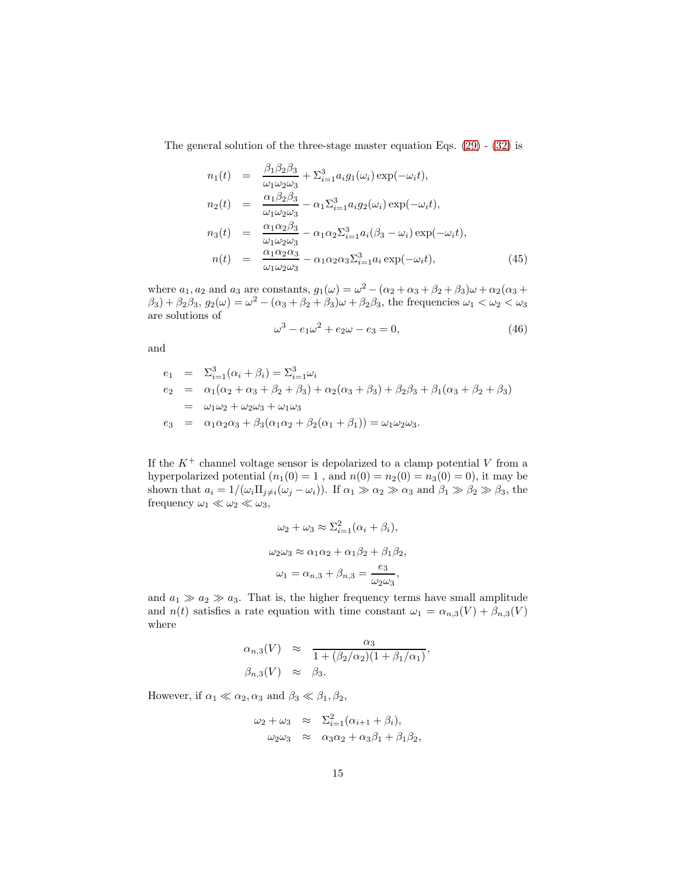The general solution of the three-stage master equation Eqs. [\(29\)](#page-7-1) - [\(32\)](#page-7-1) is

<span id="page-14-0"></span>
$$
n_1(t) = \frac{\beta_1 \beta_2 \beta_3}{\omega_1 \omega_2 \omega_3} + \Sigma_{i=1}^3 a_i g_1(\omega_i) \exp(-\omega_i t),
$$
  
\n
$$
n_2(t) = \frac{\alpha_1 \beta_2 \beta_3}{\omega_1 \omega_2 \omega_3} - \alpha_1 \Sigma_{i=1}^3 a_i g_2(\omega_i) \exp(-\omega_i t),
$$
  
\n
$$
n_3(t) = \frac{\alpha_1 \alpha_2 \beta_3}{\omega_1 \omega_2 \omega_3} - \alpha_1 \alpha_2 \Sigma_{i=1}^3 a_i (\beta_3 - \omega_i) \exp(-\omega_i t),
$$
  
\n
$$
n(t) = \frac{\alpha_1 \alpha_2 \alpha_3}{\omega_1 \omega_2 \omega_3} - \alpha_1 \alpha_2 \alpha_3 \Sigma_{i=1}^3 a_i \exp(-\omega_i t),
$$
\n(45)

where  $a_1, a_2$  and  $a_3$  are constants,  $g_1(\omega) = \omega^2 - (\alpha_2 + \alpha_3 + \beta_2 + \beta_3)\omega + \alpha_2(\alpha_3 + \beta_4)$  $(\beta_3) + (\beta_2\beta_3, g_2(\omega)) = \omega^2 - (\alpha_3 + \beta_2 + \beta_3)\omega + (\beta_2\beta_3, g_3(\omega))$  the frequencies  $\omega_1 < \omega_2 < \omega_3$ are solutions of

$$
\omega^3 - e_1 \omega^2 + e_2 \omega - e_3 = 0, \tag{46}
$$

and

$$
e_1 = \Sigma_{i=1}^3 (\alpha_i + \beta_i) = \Sigma_{i=1}^3 \omega_i
$$
  
\n
$$
e_2 = \alpha_1 (\alpha_2 + \alpha_3 + \beta_2 + \beta_3) + \alpha_2 (\alpha_3 + \beta_3) + \beta_2 \beta_3 + \beta_1 (\alpha_3 + \beta_2 + \beta_3)
$$
  
\n
$$
= \omega_1 \omega_2 + \omega_2 \omega_3 + \omega_1 \omega_3
$$
  
\n
$$
e_3 = \alpha_1 \alpha_2 \alpha_3 + \beta_3 (\alpha_1 \alpha_2 + \beta_2 (\alpha_1 + \beta_1)) = \omega_1 \omega_2 \omega_3.
$$

If the  $K^+$  channel voltage sensor is depolarized to a clamp potential V from a hyperpolarized potential  $(n_1(0) = 1$ , and  $n(0) = n_2(0) = n_3(0) = 0$ , it may be shown that  $a_i = 1/(\omega_i \Pi_{j \neq i}(\omega_j - \omega_i))$ . If  $\alpha_1 \gg \alpha_2 \gg \alpha_3$  and  $\beta_1 \gg \beta_2 \gg \beta_3$ , the frequency  $\omega_1 \ll \omega_2 \ll \omega_3$ ,

$$
\omega_2 + \omega_3 \approx \Sigma_{i=1}^2 (\alpha_i + \beta_i),
$$
  
\n
$$
\omega_2 \omega_3 \approx \alpha_1 \alpha_2 + \alpha_1 \beta_2 + \beta_1 \beta_2,
$$
  
\n
$$
\omega_1 = \alpha_{n,3} + \beta_{n,3} = \frac{e_3}{\omega_2 \omega_3},
$$

and  $a_1 \gg a_2 \gg a_3$ . That is, the higher frequency terms have small amplitude and  $n(t)$  satisfies a rate equation with time constant  $\omega_1 = \alpha_{n,3}(V) + \beta_{n,3}(V)$ where

$$
\alpha_{n,3}(V) \approx \frac{\alpha_3}{1 + (\beta_2/\alpha_2)(1 + \beta_1/\alpha_1)},
$$
  
\n
$$
\beta_{n,3}(V) \approx \beta_3.
$$

However, if  $\alpha_1 \ll \alpha_2, \alpha_3$  and  $\beta_3 \ll \beta_1, \beta_2$ ,

$$
\omega_2 + \omega_3 \approx \Sigma_{i=1}^2 (\alpha_{i+1} + \beta_i),
$$
  
\n
$$
\omega_2 \omega_3 \approx \alpha_3 \alpha_2 + \alpha_3 \beta_1 + \beta_1 \beta_2,
$$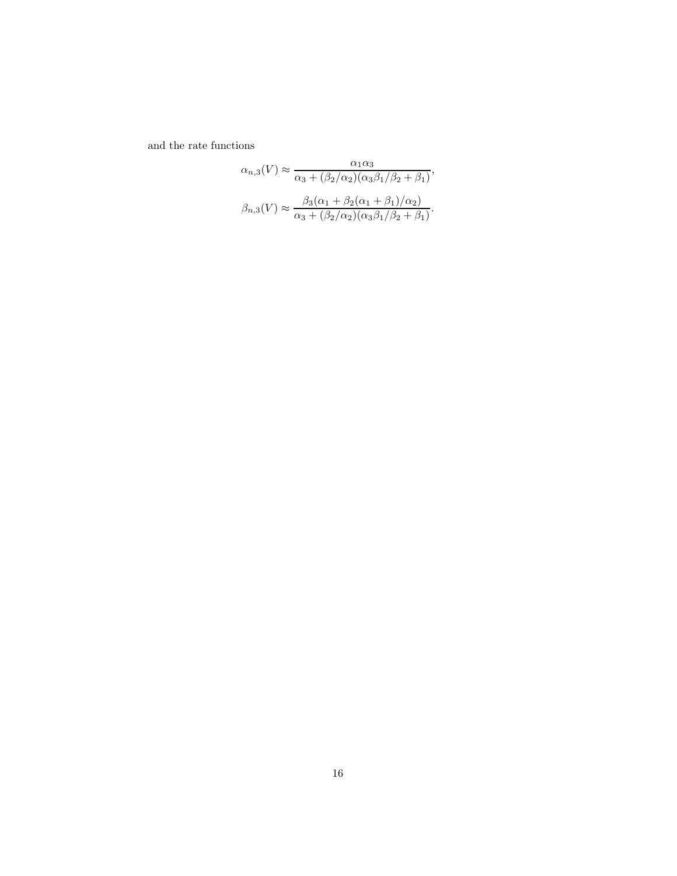and the rate functions

$$
\alpha_{n,3}(V) \approx \frac{\alpha_1 \alpha_3}{\alpha_3 + (\beta_2/\alpha_2)(\alpha_3 \beta_1/\beta_2 + \beta_1)},
$$

$$
\beta_{n,3}(V) \approx \frac{\beta_3(\alpha_1 + \beta_2(\alpha_1 + \beta_1)/\alpha_2)}{\alpha_3 + (\beta_2/\alpha_2)(\alpha_3 \beta_1/\beta_2 + \beta_1)}.
$$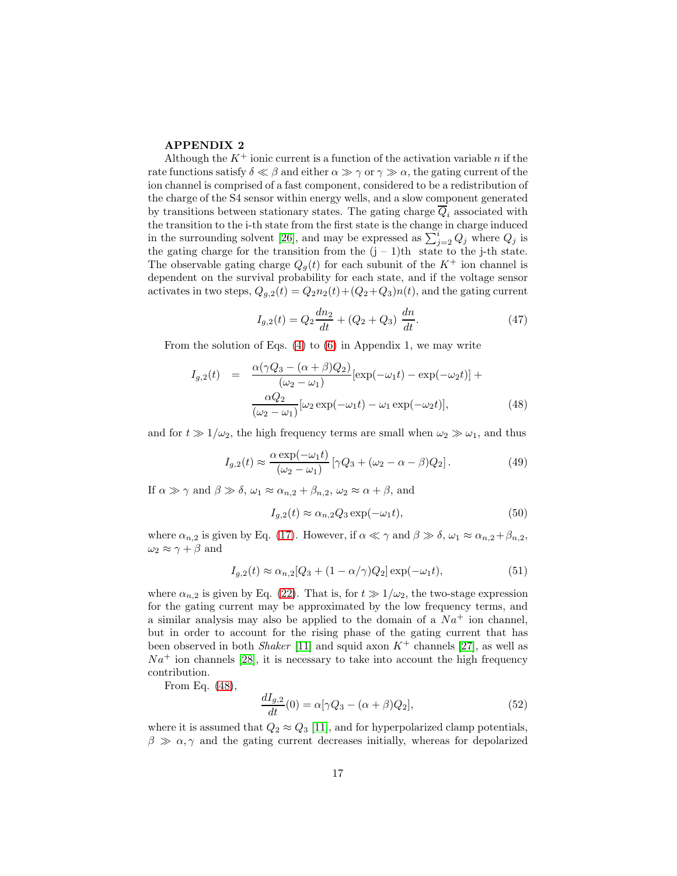### APPENDIX 2

Although the  $K^+$  ionic current is a function of the activation variable n if the rate functions satisfy  $\delta \ll \beta$  and either  $\alpha \gg \gamma$  or  $\gamma \gg \alpha$ , the gating current of the ion channel is comprised of a fast component, considered to be a redistribution of the charge of the S4 sensor within energy wells, and a slow component generated by transitions between stationary states. The gating charge  $\overline{Q}_i$  associated with the transition to the i-th state from the first state is the change in charge induced in the surrounding solvent [\[26\]](#page-20-14), and may be expressed as  $\sum_{j=2}^{i} Q_j$  where  $Q_j$  is the gating charge for the transition from the  $(j - 1)$ th state to the j-th state. The observable gating charge  $Q_g(t)$  for each subunit of the  $K^+$  ion channel is dependent on the survival probability for each state, and if the voltage sensor activates in two steps,  $Q_{g,2}(t) = Q_2 n_2(t) + (Q_2 + Q_3)n(t)$ , and the gating current

$$
I_{g,2}(t) = Q_2 \frac{dn_2}{dt} + (Q_2 + Q_3) \frac{dn}{dt}.
$$
 (47)

From the solution of Eqs. [\(4\)](#page-4-0) to [\(6\)](#page-4-0) in Appendix 1, we may write

<span id="page-16-0"></span>
$$
I_{g,2}(t) = \frac{\alpha(\gamma Q_3 - (\alpha + \beta)Q_2)}{(\omega_2 - \omega_1)} [\exp(-\omega_1 t) - \exp(-\omega_2 t)] +
$$

$$
\frac{\alpha Q_2}{(\omega_2 - \omega_1)} [\omega_2 \exp(-\omega_1 t) - \omega_1 \exp(-\omega_2 t)], \qquad (48)
$$

and for  $t \gg 1/\omega_2$ , the high frequency terms are small when  $\omega_2 \gg \omega_1$ , and thus

$$
I_{g,2}(t) \approx \frac{\alpha \exp(-\omega_1 t)}{(\omega_2 - \omega_1)} \left[ \gamma Q_3 + (\omega_2 - \alpha - \beta) Q_2 \right]. \tag{49}
$$

If  $\alpha \gg \gamma$  and  $\beta \gg \delta$ ,  $\omega_1 \approx \alpha_{n,2} + \beta_{n,2}$ ,  $\omega_2 \approx \alpha + \beta$ , and

$$
I_{g,2}(t) \approx \alpha_{n,2} Q_3 \exp(-\omega_1 t),\tag{50}
$$

where  $\alpha_{n,2}$  is given by Eq. [\(17\)](#page-5-0). However, if  $\alpha \ll \gamma$  and  $\beta \gg \delta$ ,  $\omega_1 \approx \alpha_{n,2} + \beta_{n,2}$ ,  $\omega_2 \approx \gamma + \beta$  and

$$
I_{g,2}(t) \approx \alpha_{n,2}[Q_3 + (1 - \alpha/\gamma)Q_2] \exp(-\omega_1 t), \tag{51}
$$

where  $\alpha_{n,2}$  is given by Eq. [\(22\)](#page-6-0). That is, for  $t \gg 1/\omega_2$ , the two-stage expression for the gating current may be approximated by the low frequency terms, and a similar analysis may also be applied to the domain of a  $Na<sup>+</sup>$  ion channel, but in order to account for the rising phase of the gating current that has been observed in both *Shaker* [\[11\]](#page-19-10) and squid axon  $K^+$  channels [\[27\]](#page-20-8), as well as  $Na<sup>+</sup>$  ion channels [\[28\]](#page-20-15), it is necessary to take into account the high frequency contribution.

From Eq. [\(48\)](#page-16-0),

$$
\frac{dI_{g,2}}{dt}(0) = \alpha[\gamma Q_3 - (\alpha + \beta)Q_2],\tag{52}
$$

where it is assumed that  $Q_2 \approx Q_3$  [\[11\]](#page-19-10), and for hyperpolarized clamp potentials,  $\beta \gg \alpha, \gamma$  and the gating current decreases initially, whereas for depolarized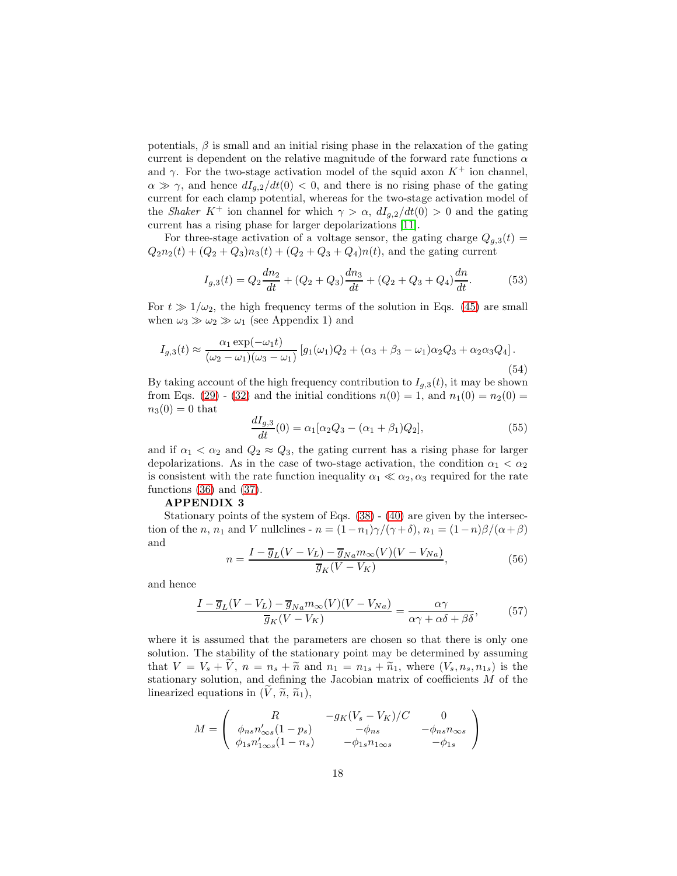potentials,  $\beta$  is small and an initial rising phase in the relaxation of the gating current is dependent on the relative magnitude of the forward rate functions  $\alpha$ and  $\gamma$ . For the two-stage activation model of the squid axon  $K^+$  ion channel,  $\alpha \gg \gamma$ , and hence  $dI_{q,2}/dt(0) < 0$ , and there is no rising phase of the gating current for each clamp potential, whereas for the two-stage activation model of the *Shaker* K<sup>+</sup> ion channel for which  $\gamma > \alpha$ ,  $dI_{q,2}/dt(0) > 0$  and the gating current has a rising phase for larger depolarizations [\[11\]](#page-19-10).

For three-stage activation of a voltage sensor, the gating charge  $Q_{a,3}(t)$  =  $Q_2n_2(t) + (Q_2+Q_3)n_3(t) + (Q_2+Q_3+Q_4)n(t)$ , and the gating current

$$
I_{g,3}(t) = Q_2 \frac{dn_2}{dt} + (Q_2 + Q_3) \frac{dn_3}{dt} + (Q_2 + Q_3 + Q_4) \frac{dn}{dt}.
$$
 (53)

For  $t \gg 1/\omega_2$ , the high frequency terms of the solution in Eqs. [\(45\)](#page-14-0) are small when  $\omega_3 \gg \omega_2 \gg \omega_1$  (see Appendix 1) and

$$
I_{g,3}(t) \approx \frac{\alpha_1 \exp(-\omega_1 t)}{(\omega_2 - \omega_1)(\omega_3 - \omega_1)} [g_1(\omega_1)Q_2 + (\alpha_3 + \beta_3 - \omega_1)\alpha_2 Q_3 + \alpha_2 \alpha_3 Q_4].
$$
\n(54)

By taking account of the high frequency contribution to  $I_{g,3}(t)$ , it may be shown from Eqs. [\(29\)](#page-7-1) - [\(32\)](#page-7-1) and the initial conditions  $n(0) = 1$ , and  $n_1(0) = n_2(0) =$  $n_3(0) = 0$  that

$$
\frac{dI_{g,3}}{dt}(0) = \alpha_1[\alpha_2 Q_3 - (\alpha_1 + \beta_1)Q_2],\tag{55}
$$

and if  $\alpha_1 < \alpha_2$  and  $Q_2 \approx Q_3$ , the gating current has a rising phase for larger depolarizations. As in the case of two-stage activation, the condition  $\alpha_1 < \alpha_2$ is consistent with the rate function inequality  $\alpha_1 \ll \alpha_2, \alpha_3$  required for the rate functions [\(36\)](#page-8-0) and [\(37\)](#page-8-1).

#### APPENDIX 3

Stationary points of the system of Eqs. [\(38\)](#page-9-0) - [\(40\)](#page-9-1) are given by the intersection of the n, n<sub>1</sub> and V nullclines -  $n = (1-n_1)\gamma/(\gamma+\delta)$ ,  $n_1 = (1-n)\beta/(\alpha+\beta)$ and

$$
n = \frac{I - \overline{g}_L(V - V_L) - \overline{g}_{Na} m_{\infty}(V)(V - V_{Na})}{\overline{g}_K(V - V_K)},
$$
\n(56)

and hence

$$
\frac{I - \overline{g}_L(V - V_L) - \overline{g}_{Na} m_{\infty}(V)(V - V_{Na})}{\overline{g}_K(V - V_K)} = \frac{\alpha \gamma}{\alpha \gamma + \alpha \delta + \beta \delta},\tag{57}
$$

where it is assumed that the parameters are chosen so that there is only one solution. The stability of the stationary point may be determined by assuming that  $V = V_s + V$ ,  $n = n_s + \tilde{n}$  and  $n_1 = n_{1s} + \tilde{n}_1$ , where  $(V_s, n_s, n_{1s})$  is the stationary solution, and defining the Jacobian matrix of coefficients M of the linearized equations in  $(\tilde{V}, \tilde{n}, \tilde{n}_1),$ 

$$
M = \begin{pmatrix} R & -g_K(V_s - V_K)/C & 0 \\ \phi_{ns} n'_{\infty s}(1 - p_s) & -\phi_{ns} & -\phi_{ns} n_{\infty s} \\ \phi_{1s} n'_{1\infty s}(1 - n_s) & -\phi_{1s} n_{1\infty s} & -\phi_{1s} \end{pmatrix}
$$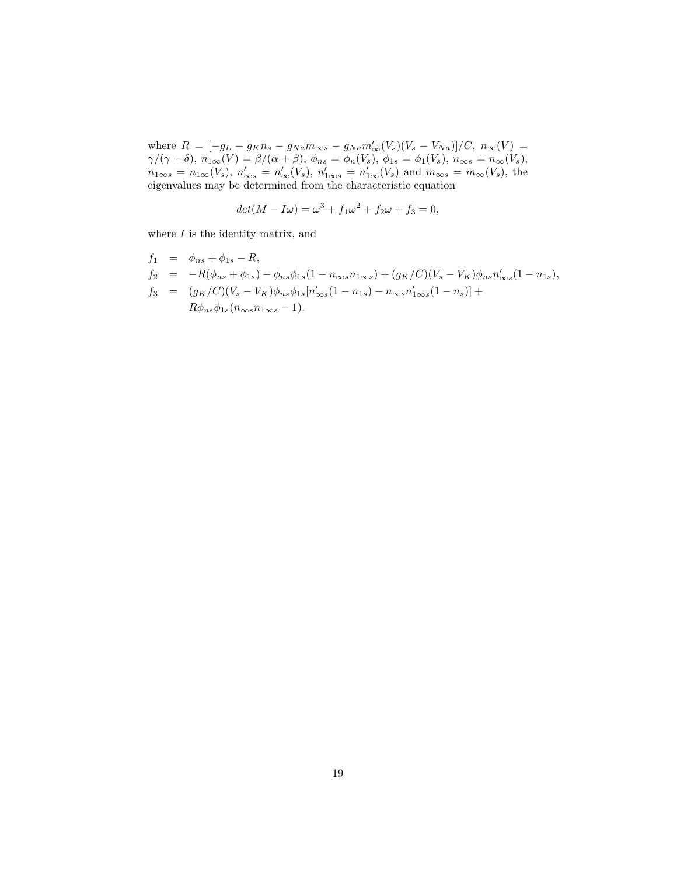where  $R = [-g_L - g_K n_s - g_{Na} m_{\infty s} - g_{Na} m'_{\infty} (V_s) (V_s - V_{Na})]/C, n_{\infty}(V) =$  $\gamma/(\gamma+\delta),\ n_{1\infty}(V)=\beta/(\alpha+\beta),\ \phi_{ns}=\phi_n(V_s),\ \phi_{1s}=\phi_1(V_s),\ n_{\infty s}=n_{\infty}(V_s),$  $n_{1\infty s} = n_{1\infty}(V_s)$ ,  $n'_{\infty s} = n'_{\infty}(V_s)$ ,  $n'_{1\infty s} = n'_{1\infty}(V_s)$  and  $m_{\infty s} = m_{\infty}(V_s)$ , the eigenvalues may be determined from the characteristic equation

$$
det(M - I\omega) = \omega^3 + f_1\omega^2 + f_2\omega + f_3 = 0,
$$

where  $I$  is the identity matrix, and

$$
f_1 = \phi_{ns} + \phi_{1s} - R,
$$
  
\n
$$
f_2 = -R(\phi_{ns} + \phi_{1s}) - \phi_{ns}\phi_{1s}(1 - n_{\infty s}n_{1\infty s}) + (g_K/C)(V_s - V_K)\phi_{ns}n'_{\infty s}(1 - n_{1s}),
$$
  
\n
$$
f_3 = (g_K/C)(V_s - V_K)\phi_{ns}\phi_{1s}[n'_{\infty s}(1 - n_{1s}) - n_{\infty s}n'_{1\infty s}(1 - n_s)] +
$$
  
\n
$$
R\phi_{ns}\phi_{1s}(n_{\infty s}n_{1\infty s} - 1).
$$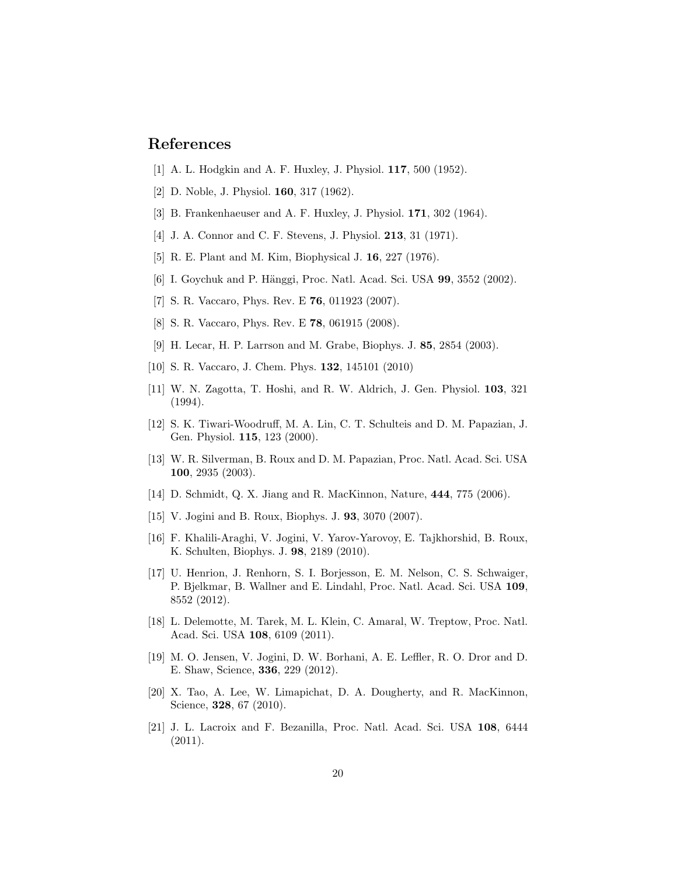# <span id="page-19-0"></span>References

- <span id="page-19-1"></span>[1] A. L. Hodgkin and A. F. Huxley, J. Physiol. 117, 500 (1952).
- <span id="page-19-2"></span>[2] D. Noble, J. Physiol. 160, 317 (1962).
- <span id="page-19-3"></span>[3] B. Frankenhaeuser and A. F. Huxley, J. Physiol. 171, 302 (1964).
- <span id="page-19-4"></span>[4] J. A. Connor and C. F. Stevens, J. Physiol. 213, 31 (1971).
- <span id="page-19-5"></span>[5] R. E. Plant and M. Kim, Biophysical J. 16, 227 (1976).
- <span id="page-19-6"></span>[6] I. Goychuk and P. Hänggi, Proc. Natl. Acad. Sci. USA 99, 3552 (2002).
- <span id="page-19-7"></span>[7] S. R. Vaccaro, Phys. Rev. E 76, 011923 (2007).
- <span id="page-19-8"></span>[8] S. R. Vaccaro, Phys. Rev. E 78, 061915 (2008).
- <span id="page-19-9"></span>[9] H. Lecar, H. P. Larrson and M. Grabe, Biophys. J. 85, 2854 (2003).
- <span id="page-19-10"></span>[10] S. R. Vaccaro, J. Chem. Phys. 132, 145101 (2010)
- [11] W. N. Zagotta, T. Hoshi, and R. W. Aldrich, J. Gen. Physiol. 103, 321 (1994).
- <span id="page-19-11"></span>[12] S. K. Tiwari-Woodruff, M. A. Lin, C. T. Schulteis and D. M. Papazian, J. Gen. Physiol. 115, 123 (2000).
- <span id="page-19-12"></span>[13] W. R. Silverman, B. Roux and D. M. Papazian, Proc. Natl. Acad. Sci. USA 100, 2935 (2003).
- <span id="page-19-14"></span><span id="page-19-13"></span>[14] D. Schmidt, Q. X. Jiang and R. MacKinnon, Nature, 444, 775 (2006).
- <span id="page-19-15"></span>[15] V. Jogini and B. Roux, Biophys. J. 93, 3070 (2007).
- [16] F. Khalili-Araghi, V. Jogini, V. Yarov-Yarovoy, E. Tajkhorshid, B. Roux, K. Schulten, Biophys. J. 98, 2189 (2010).
- <span id="page-19-16"></span>[17] U. Henrion, J. Renhorn, S. I. Borjesson, E. M. Nelson, C. S. Schwaiger, P. Bjelkmar, B. Wallner and E. Lindahl, Proc. Natl. Acad. Sci. USA 109, 8552 (2012).
- <span id="page-19-17"></span>[18] L. Delemotte, M. Tarek, M. L. Klein, C. Amaral, W. Treptow, Proc. Natl. Acad. Sci. USA 108, 6109 (2011).
- <span id="page-19-18"></span>[19] M. O. Jensen, V. Jogini, D. W. Borhani, A. E. Leffler, R. O. Dror and D. E. Shaw, Science, 336, 229 (2012).
- <span id="page-19-19"></span>[20] X. Tao, A. Lee, W. Limapichat, D. A. Dougherty, and R. MacKinnon, Science, **328**, 67 (2010).
- <span id="page-19-20"></span>[21] J. L. Lacroix and F. Bezanilla, Proc. Natl. Acad. Sci. USA 108, 6444 (2011).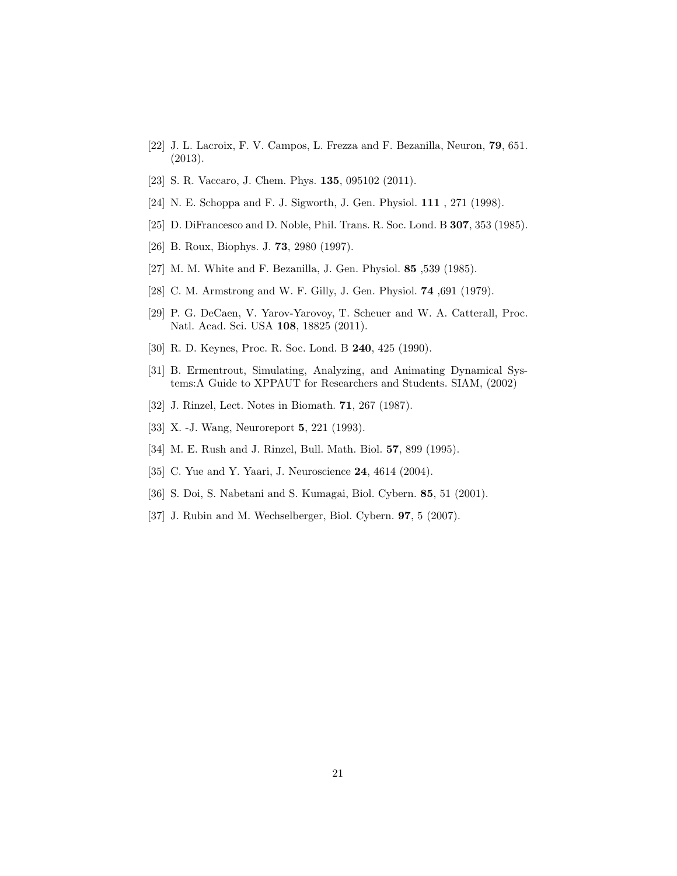- <span id="page-20-0"></span>[22] J. L. Lacroix, F. V. Campos, L. Frezza and F. Bezanilla, Neuron, 79, 651. (2013).
- <span id="page-20-2"></span><span id="page-20-1"></span>[23] S. R. Vaccaro, J. Chem. Phys. **135**, 095102 (2011).
- <span id="page-20-3"></span>[24] N. E. Schoppa and F. J. Sigworth, J. Gen. Physiol. **111**, 271 (1998).
- <span id="page-20-14"></span>[25] D. DiFrancesco and D. Noble, Phil. Trans. R. Soc. Lond. B 307, 353 (1985).
- <span id="page-20-8"></span>[26] B. Roux, Biophys. J. 73, 2980 (1997).
- <span id="page-20-15"></span>[27] M. M. White and F. Bezanilla, J. Gen. Physiol. 85 ,539 (1985).
- <span id="page-20-4"></span>[28] C. M. Armstrong and W. F. Gilly, J. Gen. Physiol. **74**, 691 (1979).
- [29] P. G. DeCaen, V. Yarov-Yarovoy, T. Scheuer and W. A. Catterall, Proc. Natl. Acad. Sci. USA 108, 18825 (2011).
- <span id="page-20-6"></span><span id="page-20-5"></span>[30] R. D. Keynes, Proc. R. Soc. Lond. B 240, 425 (1990).
- [31] B. Ermentrout, Simulating, Analyzing, and Animating Dynamical Systems:A Guide to XPPAUT for Researchers and Students. SIAM, (2002)
- <span id="page-20-9"></span><span id="page-20-7"></span>[32] J. Rinzel, Lect. Notes in Biomath. 71, 267 (1987).
- <span id="page-20-10"></span>[33] X. -J. Wang, Neuroreport 5, 221 (1993).
- <span id="page-20-11"></span>[34] M. E. Rush and J. Rinzel, Bull. Math. Biol. 57, 899 (1995).
- <span id="page-20-12"></span>[35] C. Yue and Y. Yaari, J. Neuroscience **24**, 4614 (2004).
- <span id="page-20-13"></span>[36] S. Doi, S. Nabetani and S. Kumagai, Biol. Cybern. 85, 51 (2001).
- [37] J. Rubin and M. Wechselberger, Biol. Cybern. 97, 5 (2007).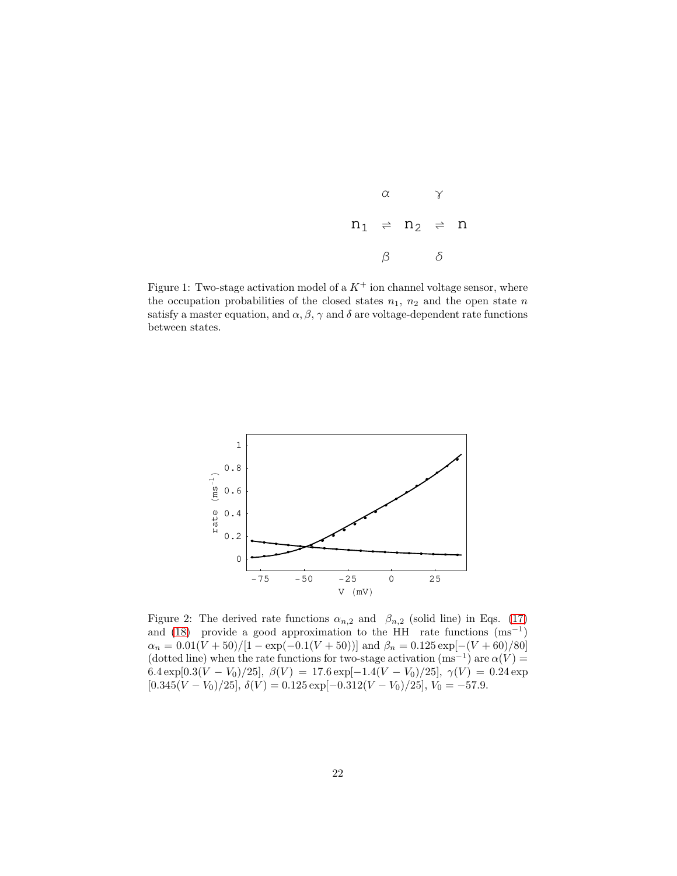| α  |                                           |  |
|----|-------------------------------------------|--|
|    | $n_1$ $\Rightarrow$ $n_2$ $\Rightarrow$ n |  |
| 13 |                                           |  |

Figure 1: Two-stage activation model of a  $K^+$  ion channel voltage sensor, where the occupation probabilities of the closed states  $n_1$ ,  $n_2$  and the open state n satisfy a master equation, and  $\alpha$ ,  $\beta$ ,  $\gamma$  and  $\delta$  are voltage-dependent rate functions between states.



Figure 2: The derived rate functions  $\alpha_{n,2}$  and  $\beta_{n,2}$  (solid line) in Eqs. [\(17\)](#page-5-0) and [\(18\)](#page-5-0) provide a good approximation to the HH rate functions  $(ms^{-1})$  $\alpha_n = 0.01(V + 50)/[1 - \exp(-0.1(V + 50))]$  and  $\beta_n = 0.125 \exp[-(V + 60)/80]$ (dotted line) when the rate functions for two-stage activation  $(ms^{-1})$  are  $\alpha(V)$  = 6.4 exp[0.3(V – V<sub>0</sub>)/25],  $\beta(V) = 17.6 \exp[-1.4(V - V_0)/25]$ ,  $\gamma(V) = 0.24 \exp$  $[0.345(V - V_0)/25]$ ,  $\delta(V) = 0.125 \exp[-0.312(V - V_0)/25]$ ,  $V_0 = -57.9$ .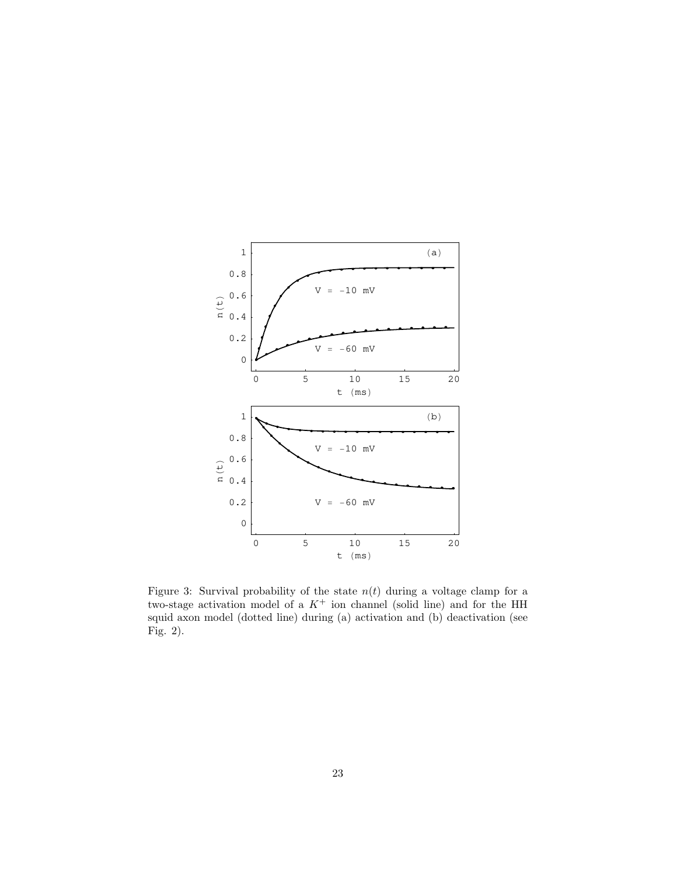

Figure 3: Survival probability of the state  $n(t)$  during a voltage clamp for a two-stage activation model of a  $K^+$  ion channel (solid line) and for the HH squid axon model (dotted line) during (a) activation and (b) deactivation (see Fig. 2).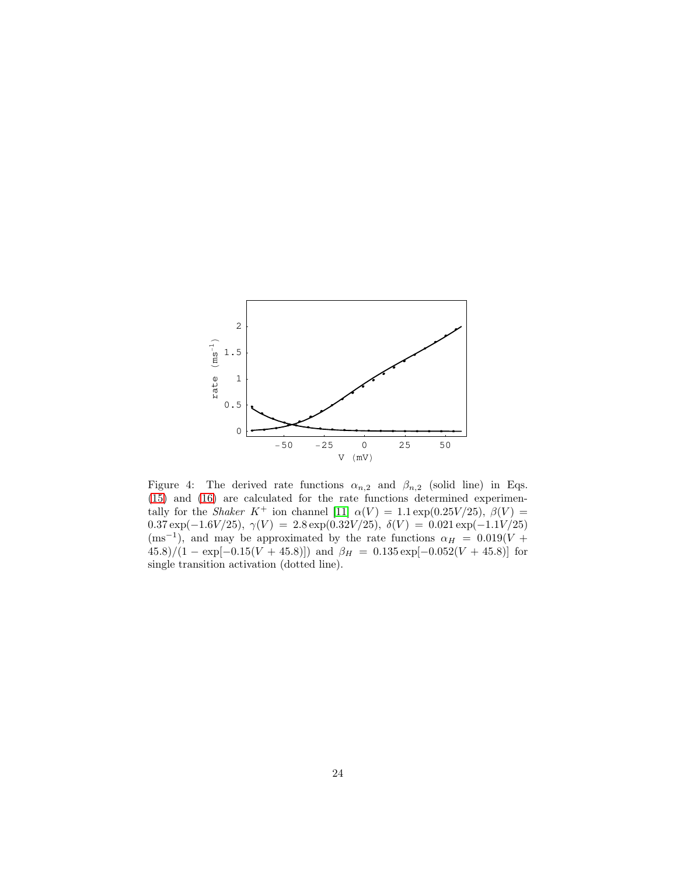

Figure 4: The derived rate functions  $\alpha_{n,2}$  and  $\beta_{n,2}$  (solid line) in Eqs. [\(15\)](#page-5-4) and [\(16\)](#page-5-5) are calculated for the rate functions determined experimentally for the *Shaker* K<sup>+</sup> ion channel [\[11\]](#page-19-10)  $\alpha(V) = 1.1 \exp(0.25V/25)$ ,  $\beta(V) =$  $0.37 \exp(-1.6 V/25), \; \gamma(V) \; = \; 2.8 \exp(0.32 V/25), \; \delta(V) \; = \; 0.021 \exp(-1.1 V/25)$  $(ms^{-1})$ , and may be approximated by the rate functions  $\alpha_H = 0.019(V +$  $(45.8)/(1 - \exp[-0.15(V + 45.8)])$  and  $\beta_H = 0.135 \exp[-0.052(V + 45.8)]$  for single transition activation (dotted line).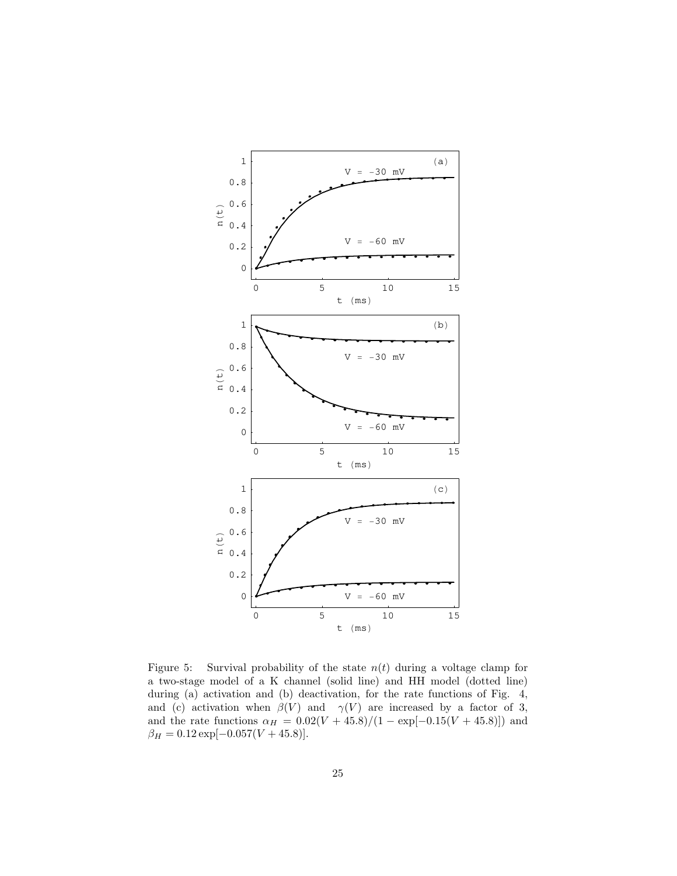

Figure 5: Survival probability of the state  $n(t)$  during a voltage clamp for a two-stage model of a K channel (solid line) and HH model (dotted line) during (a) activation and (b) deactivation, for the rate functions of Fig. 4, and (c) activation when  $\beta(V)$  and  $\gamma(V)$  are increased by a factor of 3, and the rate functions  $\alpha_H = 0.02(V + 45.8)/(1 - \exp[-0.15(V + 45.8)])$  and  $\beta_H = 0.12 \exp[-0.057 (V + 45.8)].$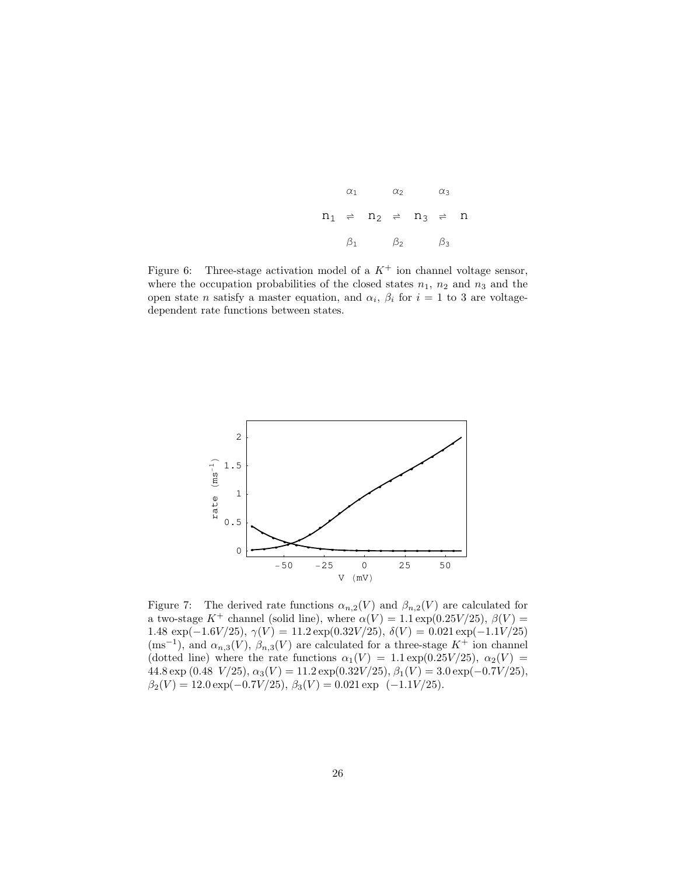|           | $\alpha_1$ and $\alpha_2$                                                                                                                                         | $\alpha_2$ | $\alpha$ 3 |  |
|-----------|-------------------------------------------------------------------------------------------------------------------------------------------------------------------|------------|------------|--|
|           | $\, {\rm n}_1 \, \, \, \rightleftharpoons \, \, \, {\rm n}_2 \, \, \, \, \rightleftharpoons \, \, \, {\rm n}_3 \, \, \, \, \rightleftharpoons \, \, \, {\rm n}_1$ |            |            |  |
| $\beta_1$ |                                                                                                                                                                   | $\beta_2$  | $\beta_3$  |  |

Figure 6: Three-stage activation model of a  $K^+$  ion channel voltage sensor, where the occupation probabilities of the closed states  $n_1$ ,  $n_2$  and  $n_3$  and the open state *n* satisfy a master equation, and  $\alpha_i$ ,  $\beta_i$  for  $i = 1$  to 3 are voltagedependent rate functions between states.



Figure 7: The derived rate functions  $\alpha_{n,2}(V)$  and  $\beta_{n,2}(V)$  are calculated for a two-stage  $K^+$  channel (solid line), where  $\alpha(V) = 1.1 \exp(0.25V/25)$ ,  $\beta(V) =$ 1.48  $\exp(-1.6V/25)$ ,  $\gamma(V) = 11.2 \exp(0.32V/25)$ ,  $\delta(V) = 0.021 \exp(-1.1V/25)$  $(ms^{-1})$ , and  $\alpha_{n,3}(V)$ ,  $\beta_{n,3}(V)$  are calculated for a three-stage  $K^+$  ion channel (dotted line) where the rate functions  $\alpha_1(V) = 1.1 \exp(0.25V/25), \alpha_2(V) =$  $44.8 \exp{(0.48 \text{ V}/25)}, \alpha_3(V) = 11.2 \exp{(0.32 V/25)}, \beta_1(V) = 3.0 \exp(-0.7 V/25),$  $\beta_2(V) = 12.0 \exp(-0.7V/25), \beta_3(V) = 0.021 \exp(-1.1V/25).$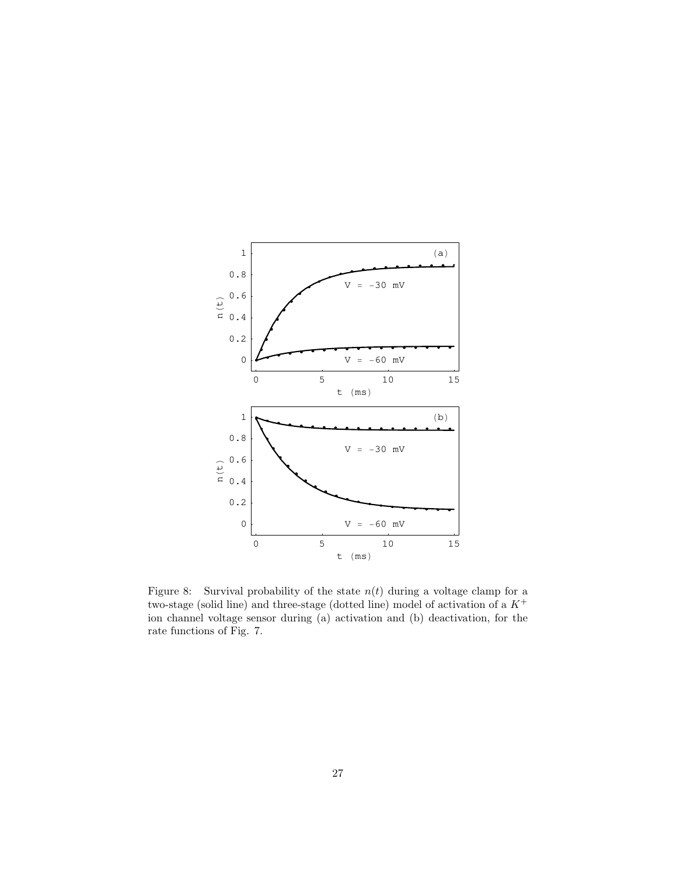

Figure 8: Survival probability of the state  $n(t)$  during a voltage clamp for a two-stage (solid line) and three-stage (dotted line) model of activation of a  $K^+$ ion channel voltage sensor during (a) activation and (b) deactivation, for the rate functions of Fig. 7.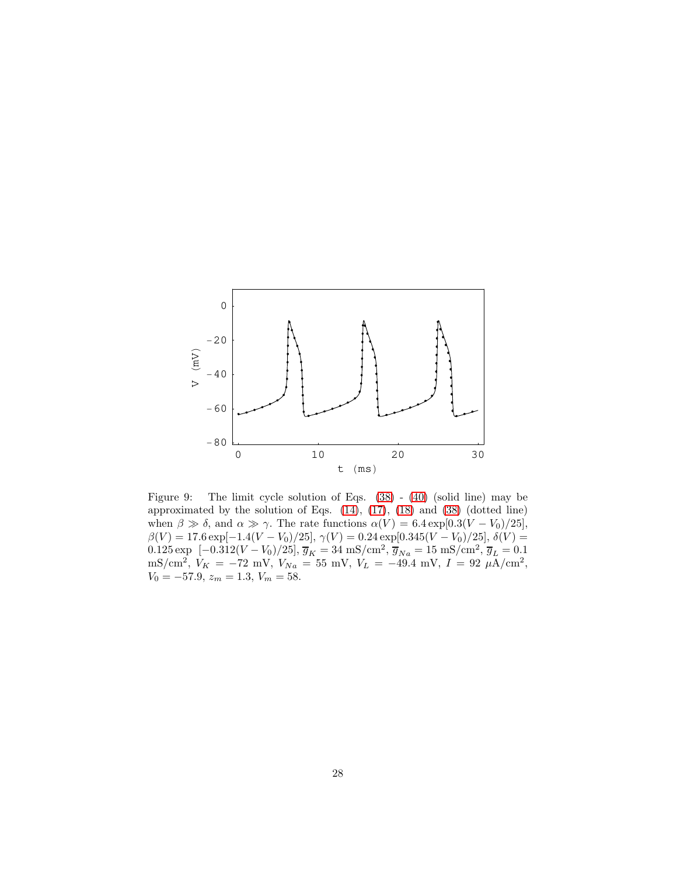

Figure 9: The limit cycle solution of Eqs. [\(38\)](#page-9-0) - [\(40\)](#page-9-1) (solid line) may be approximated by the solution of Eqs. [\(14\)](#page-5-3), [\(17\)](#page-5-0), [\(18\)](#page-5-0) and [\(38\)](#page-9-0) (dotted line) when  $\beta \gg \delta$ , and  $\alpha \gg \gamma$ . The rate functions  $\alpha(V) = 6.4 \exp[0.3(V - V_0)/25]$ ,  $\beta(V) = 17.6 \exp[-1.4(V - V_0)/25], \gamma(V) = 0.24 \exp[0.345(V - V_0)/25], \delta(V) =$ 0.125 exp [-0.312( $V - V_0$ )/25],  $\overline{g}_K = 34 \text{ mS/cm}^2$ ,  $\overline{g}_{Na} = 15 \text{ mS/cm}^2$ ,  $\overline{g}_L = 0.1$ mS/cm<sup>2</sup>,  $V_K = -72$  mV,  $V_{Na} = 55$  mV,  $V_L = -49.4$  mV,  $I = 92 \mu A/cm^2$ ,  $V_0 = -57.9, z_m = 1.3, V_m = 58.$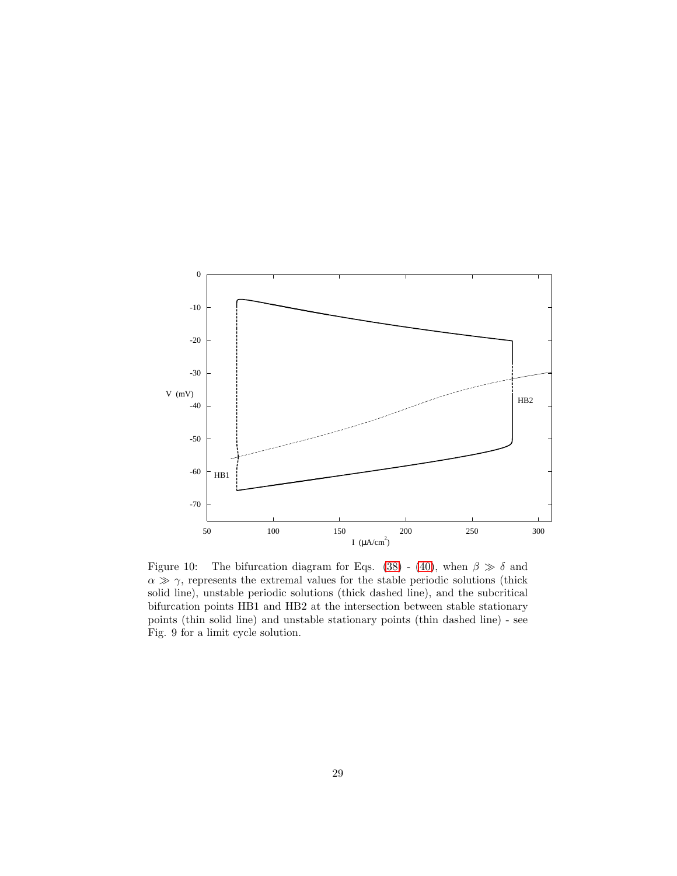

Figure 10: The bifurcation diagram for Eqs. [\(38\)](#page-9-0) - [\(40\)](#page-9-1), when  $\beta \gg \delta$  and  $\alpha \gg \gamma$ , represents the extremal values for the stable periodic solutions (thick solid line), unstable periodic solutions (thick dashed line), and the subcritical bifurcation points HB1 and HB2 at the intersection between stable stationary points (thin solid line) and unstable stationary points (thin dashed line) - see Fig. 9 for a limit cycle solution.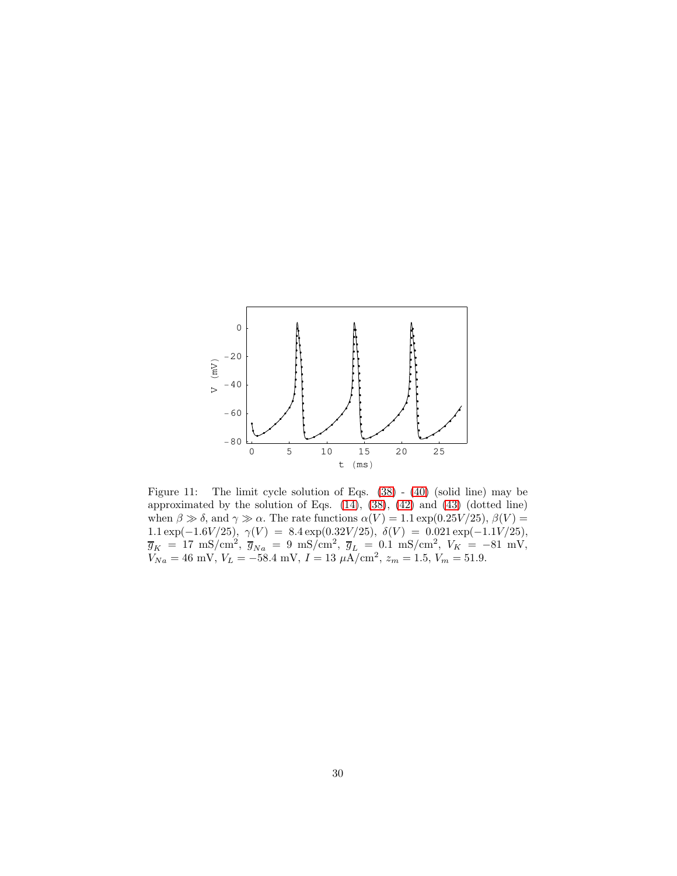

Figure 11: The limit cycle solution of Eqs. [\(38\)](#page-9-0) - [\(40\)](#page-9-1) (solid line) may be approximated by the solution of Eqs. [\(14\)](#page-5-3), [\(38\)](#page-9-0), [\(42\)](#page-10-0) and [\(43\)](#page-10-0) (dotted line) when  $\beta \gg \delta$ , and  $\gamma \gg \alpha$ . The rate functions  $\alpha(V) = 1.1 \exp(0.25V/25)$ ,  $\beta(V) =$ 1.1 exp(-1.6V/25),  $\gamma(V) = 8.4 \exp(0.32V/25)$ ,  $\delta(V) = 0.021 \exp(-1.1V/25)$ ,  $\overline{g}_K = 17 \text{ mS/cm}^2, \ \overline{g}_{Na} = 9 \text{ mS/cm}^2, \ \overline{g}_L = 0.1 \text{ mS/cm}^2, \ V_K = -81 \text{ mV},$  $V_{Na} = 46$  mV,  $V_L = -58.4$  mV,  $I = 13 \mu A/cm^2$ ,  $z_m = 1.5$ ,  $V_m = 51.9$ .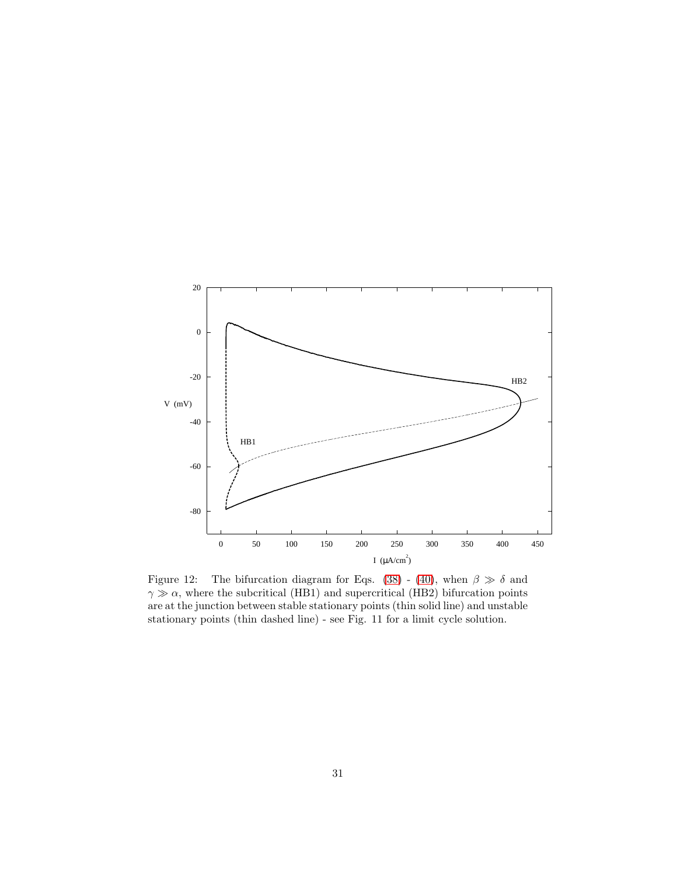

Figure 12: The bifurcation diagram for Eqs. [\(38\)](#page-9-0) - [\(40\)](#page-9-1), when  $\beta \gg \delta$  and  $\gamma \gg \alpha$ , where the subcritical (HB1) and supercritical (HB2) bifurcation points are at the junction between stable stationary points (thin solid line) and unstable stationary points (thin dashed line) - see Fig. 11 for a limit cycle solution.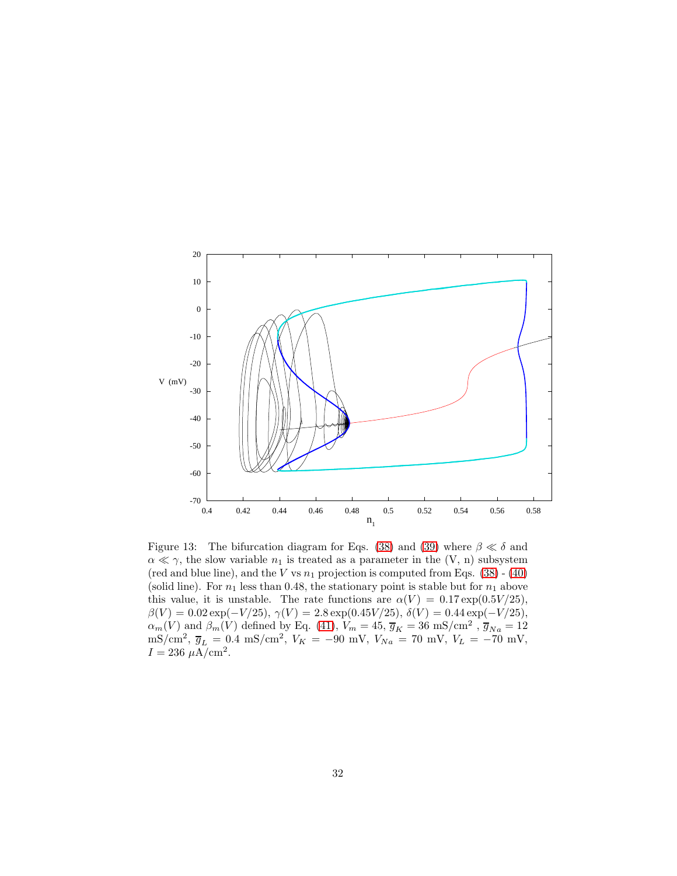

Figure 13: The bifurcation diagram for Eqs. [\(38\)](#page-9-0) and [\(39\)](#page-9-2) where  $\beta \ll \delta$  and  $\alpha \ll \gamma$ , the slow variable  $n_1$  is treated as a parameter in the (V, n) subsystem (red and blue line), and the  $V$  vs  $n_1$  projection is computed from Eqs. [\(38\)](#page-9-0) - [\(40\)](#page-9-1) (solid line). For  $n_1$  less than 0.48, the stationary point is stable but for  $n_1$  above this value, it is unstable. The rate functions are  $\alpha(V) = 0.17 \exp(0.5V/25)$ ,  $\beta(V) = 0.02 \exp(-V/25), \gamma(V) = 2.8 \exp(0.45 V/25), \delta(V) = 0.44 \exp(-V/25),$  $\alpha_m(V)$  and  $\beta_m(V)$  defined by Eq. [\(41\)](#page-9-3),  $V_m = 45, \overline{g}_K = 36$  mS/cm<sup>2</sup>,  $\overline{g}_{Na} = 12$ mS/cm<sup>2</sup>,  $\overline{g}_L = 0.4$  mS/cm<sup>2</sup>,  $V_K = -90$  mV,  $V_{Na} = 70$  mV,  $V_L = -70$  mV,  $I = 236 \ \mu A / \text{cm}^2$ .